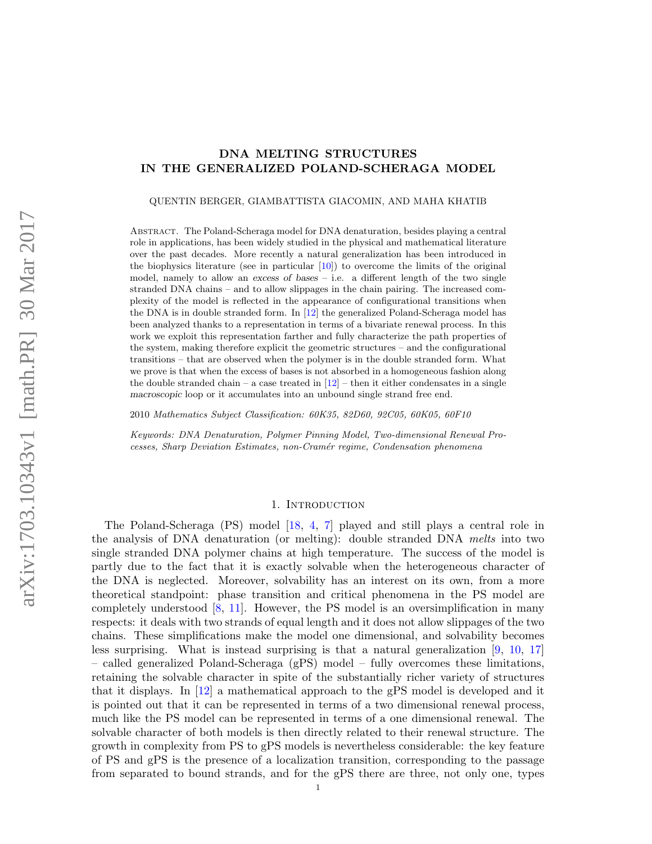# DNA MELTING STRUCTURES IN THE GENERALIZED POLAND-SCHERAGA MODEL

QUENTIN BERGER, GIAMBATTISTA GIACOMIN, AND MAHA KHATIB

Abstract. The Poland-Scheraga model for DNA denaturation, besides playing a central role in applications, has been widely studied in the physical and mathematical literature over the past decades. More recently a natural generalization has been introduced in the biophysics literature (see in particular  $[10]$ ) to overcome the limits of the original model, namely to allow an excess of bases – i.e. a different length of the two single stranded DNA chains – and to allow slippages in the chain pairing. The increased complexity of the model is reflected in the appearance of configurational transitions when the DNA is in double stranded form. In [\[12\]](#page-28-1) the generalized Poland-Scheraga model has been analyzed thanks to a representation in terms of a bivariate renewal process. In this work we exploit this representation farther and fully characterize the path properties of the system, making therefore explicit the geometric structures – and the configurational transitions – that are observed when the polymer is in the double stranded form. What we prove is that when the excess of bases is not absorbed in a homogeneous fashion along the double stranded chain – a case treated in  $[12]$  – then it either condensates in a single macroscopic loop or it accumulates into an unbound single strand free end.

2010 Mathematics Subject Classification: 60K35, 82D60, 92C05, 60K05, 60F10

Keywords: DNA Denaturation, Polymer Pinning Model, Two-dimensional Renewal Processes, Sharp Deviation Estimates, non-Cram´er regime, Condensation phenomena

### 1. INTRODUCTION

The Poland-Scheraga (PS) model [\[18,](#page-28-2) [4,](#page-28-3) [7\]](#page-28-4) played and still plays a central role in the analysis of DNA denaturation (or melting): double stranded DNA melts into two single stranded DNA polymer chains at high temperature. The success of the model is partly due to the fact that it is exactly solvable when the heterogeneous character of the DNA is neglected. Moreover, solvability has an interest on its own, from a more theoretical standpoint: phase transition and critical phenomena in the PS model are completely understood [\[8,](#page-28-5) [11\]](#page-28-6). However, the PS model is an oversimplification in many respects: it deals with two strands of equal length and it does not allow slippages of the two chains. These simplifications make the model one dimensional, and solvability becomes less surprising. What is instead surprising is that a natural generalization [\[9,](#page-28-7) [10,](#page-28-0) [17\]](#page-28-8) – called generalized Poland-Scheraga (gPS) model – fully overcomes these limitations, retaining the solvable character in spite of the substantially richer variety of structures that it displays. In [\[12\]](#page-28-1) a mathematical approach to the gPS model is developed and it is pointed out that it can be represented in terms of a two dimensional renewal process, much like the PS model can be represented in terms of a one dimensional renewal. The solvable character of both models is then directly related to their renewal structure. The growth in complexity from PS to gPS models is nevertheless considerable: the key feature of PS and gPS is the presence of a localization transition, corresponding to the passage from separated to bound strands, and for the gPS there are three, not only one, types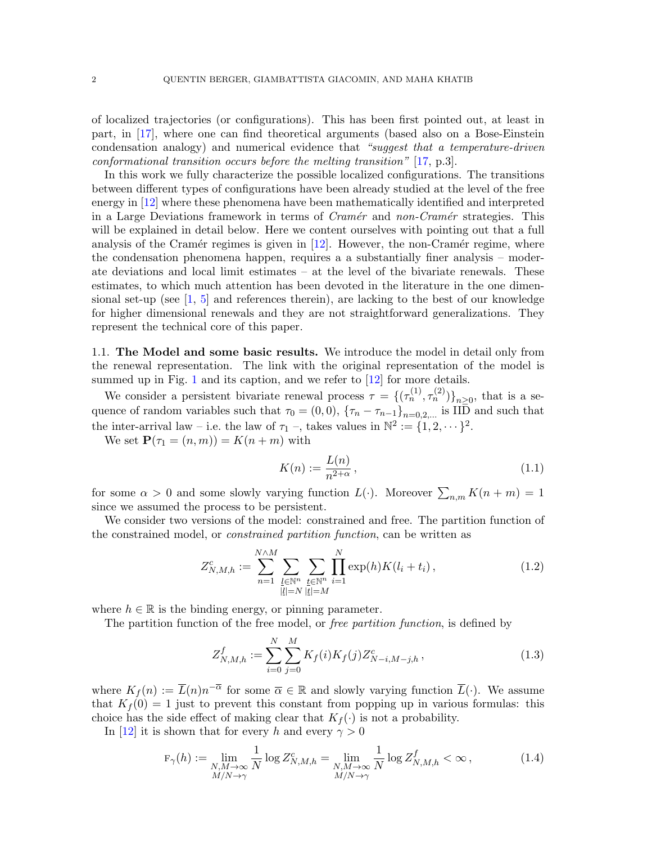of localized trajectories (or configurations). This has been first pointed out, at least in part, in [\[17\]](#page-28-8), where one can find theoretical arguments (based also on a Bose-Einstein condensation analogy) and numerical evidence that "suggest that a temperature-driven conformational transition occurs before the melting transition" [\[17,](#page-28-8) p.3].

In this work we fully characterize the possible localized configurations. The transitions between different types of configurations have been already studied at the level of the free energy in [\[12\]](#page-28-1) where these phenomena have been mathematically identified and interpreted in a Large Deviations framework in terms of  $Cramér$  and non-Cramér strategies. This will be explained in detail below. Here we content ourselves with pointing out that a full analysis of the Cramér regimes is given in  $[12]$ . However, the non-Cramér regime, where the condensation phenomena happen, requires a a substantially finer analysis – moderate deviations and local limit estimates – at the level of the bivariate renewals. These estimates, to which much attention has been devoted in the literature in the one dimensional set-up (see  $\left[1, 5\right]$  $\left[1, 5\right]$  $\left[1, 5\right]$  and references therein), are lacking to the best of our knowledge for higher dimensional renewals and they are not straightforward generalizations. They represent the technical core of this paper.

1.1. The Model and some basic results. We introduce the model in detail only from the renewal representation. The link with the original representation of the model is summed up in Fig. [1](#page-2-0) and its caption, and we refer to [\[12\]](#page-28-1) for more details.

We consider a persistent bivariate renewal process  $\tau = \{(\tau_n^{(1)}, \tau_n^{(2)})\}_{n \geq 0}$ , that is a sequence of random variables such that  $\tau_0 = (0, 0)$ ,  $\{\tau_n - \tau_{n-1}\}_{n=0,2,\dots}$  is IID and such that the inter-arrival law – i.e. the law of  $\tau_1$  –, takes values in  $\mathbb{N}^2 := \{1, 2, \dots\}^2$ .

We set  $\mathbf{P}(\tau_1 = (n, m)) = K(n + m)$  with

$$
K(n) := \frac{L(n)}{n^{2+\alpha}},
$$
\n(1.1)

for some  $\alpha > 0$  and some slowly varying function  $L(\cdot)$ . Moreover  $\sum_{n,m} K(n+m) = 1$ since we assumed the process to be persistent.

We consider two versions of the model: constrained and free. The partition function of the constrained model, or constrained partition function, can be written as

$$
Z_{N,M,h}^{c} := \sum_{n=1}^{N \wedge M} \sum_{\substack{l \in \mathbb{N}^n \\ |l| = N}} \sum_{\substack{t \in \mathbb{N}^n \\ |t| = M}} \prod_{i=1}^{N} \exp(h) K(l_i + t_i), \qquad (1.2)
$$

where  $h \in \mathbb{R}$  is the binding energy, or pinning parameter.

The partition function of the free model, or *free partition function*, is defined by

<span id="page-1-0"></span>
$$
Z_{N,M,h}^f := \sum_{i=0}^N \sum_{j=0}^M K_f(i) K_f(j) Z_{N-i,M-j,h}^c,
$$
\n(1.3)

where  $K_f(n) := \overline{L}(n)n^{-\overline{\alpha}}$  for some  $\overline{\alpha} \in \mathbb{R}$  and slowly varying function  $\overline{L}(\cdot)$ . We assume that  $K_f(0) = 1$  just to prevent this constant from popping up in various formulas: this choice has the side effect of making clear that  $K_f(\cdot)$  is not a probability.

In [\[12\]](#page-28-1) it is shown that for every h and every  $\gamma > 0$ 

$$
\mathbf{F}_{\gamma}(h) := \lim_{\substack{N,M \to \infty \\ M/N \to \gamma}} \frac{1}{N} \log Z_{N,M,h}^c = \lim_{\substack{N,M \to \infty \\ M/N \to \gamma}} \frac{1}{N} \log Z_{N,M,h}^f < \infty ,
$$
 (1.4)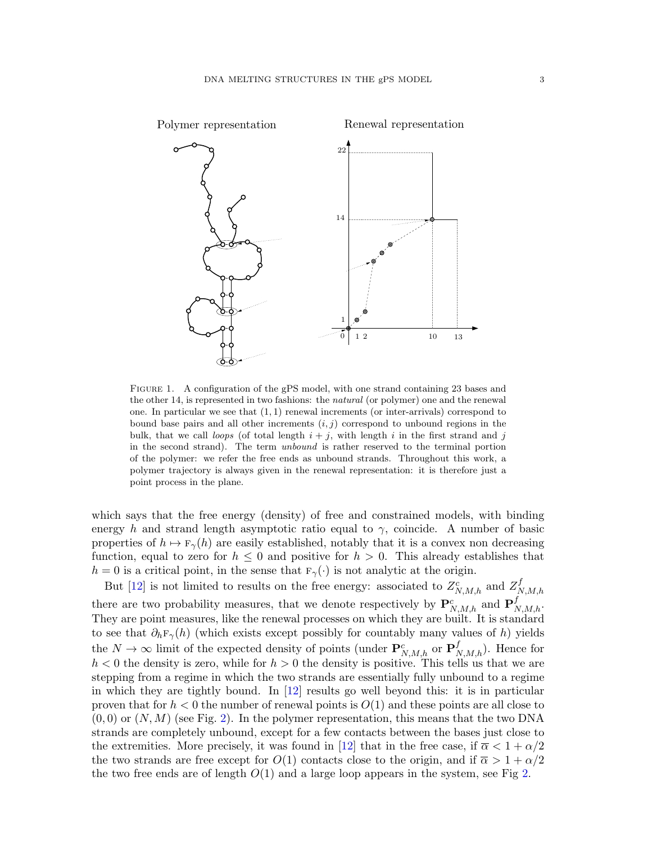

<span id="page-2-0"></span>FIGURE 1. A configuration of the gPS model, with one strand containing 23 bases and the other 14, is represented in two fashions: the natural (or polymer) one and the renewal one. In particular we see that  $(1, 1)$  renewal increments (or inter-arrivals) correspond to bound base pairs and all other increments  $(i, j)$  correspond to unbound regions in the bulk, that we call loops (of total length  $i + j$ , with length i in the first strand and j in the second strand). The term unbound is rather reserved to the terminal portion of the polymer: we refer the free ends as unbound strands. Throughout this work, a polymer trajectory is always given in the renewal representation: it is therefore just a point process in the plane.

which says that the free energy (density) of free and constrained models, with binding energy h and strand length asymptotic ratio equal to  $\gamma$ , coincide. A number of basic properties of  $h \mapsto \mathbb{F}_{\gamma}(h)$  are easily established, notably that it is a convex non decreasing function, equal to zero for  $h \leq 0$  and positive for  $h > 0$ . This already establishes that  $h = 0$  is a critical point, in the sense that  $F_{\gamma}(\cdot)$  is not analytic at the origin.

But [\[12\]](#page-28-1) is not limited to results on the free energy: associated to  $Z_{N,M,h}^c$  and  $Z_N^f$  $_{N,M,h}$ there are two probability measures, that we denote respectively by  $\mathbf{P}_{N,M,h}^c$  and  $\mathbf{P}_{N,M,h}^f$ . They are point measures, like the renewal processes on which they are built. It is standard to see that  $\partial_h \mathbf{F}_{\gamma}(h)$  (which exists except possibly for countably many values of h) yields the  $N \to \infty$  limit of the expected density of points (under  $\mathbf{P}_{N,M,h}^c$  or  $\mathbf{P}_{N,M,h}^f$ ). Hence for  $h < 0$  the density is zero, while for  $h > 0$  the density is positive. This tells us that we are stepping from a regime in which the two strands are essentially fully unbound to a regime in which they are tightly bound. In [\[12\]](#page-28-1) results go well beyond this: it is in particular proven that for  $h < 0$  the number of renewal points is  $O(1)$  and these points are all close to  $(0,0)$  or  $(N, M)$  (see Fig. [2\)](#page-3-0). In the polymer representation, this means that the two DNA strands are completely unbound, except for a few contacts between the bases just close to the extremities. More precisely, it was found in [\[12\]](#page-28-1) that in the free case, if  $\overline{\alpha} < 1 + \alpha/2$ the two strands are free except for  $O(1)$  contacts close to the origin, and if  $\overline{\alpha} > 1 + \alpha/2$ the two free ends are of length  $O(1)$  and a large loop appears in the system, see Fig [2.](#page-3-0)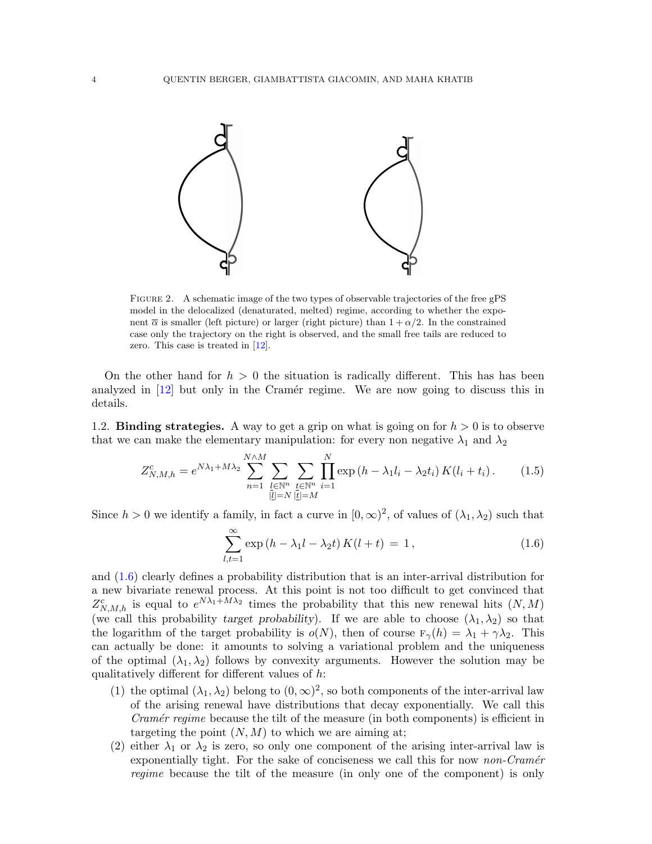

<span id="page-3-0"></span>Figure 2. A schematic image of the two types of observable trajectories of the free gPS model in the delocalized (denaturated, melted) regime, according to whether the exponent  $\overline{\alpha}$  is smaller (left picture) or larger (right picture) than  $1 + \alpha/2$ . In the constrained case only the trajectory on the right is observed, and the small free tails are reduced to zero. This case is treated in [\[12\]](#page-28-1).

On the other hand for  $h > 0$  the situation is radically different. This has has been analyzed in  $[12]$  but only in the Cramér regime. We are now going to discuss this in details.

1.2. **Binding strategies.** A way to get a grip on what is going on for  $h > 0$  is to observe that we can make the elementary manipulation: for every non negative  $\lambda_1$  and  $\lambda_2$ 

$$
Z_{N,M,h}^c = e^{N\lambda_1 + M\lambda_2} \sum_{n=1}^{N\wedge M} \sum_{\substack{l \in \mathbb{N}^n \\ |l| = N}} \sum_{\substack{t \in \mathbb{N}^n \\ |t| = M}} \prod_{i=1}^N \exp\left(h - \lambda_1 l_i - \lambda_2 t_i\right) K(l_i + t_i).
$$
 (1.5)

Since  $h > 0$  we identify a family, in fact a curve in  $[0, \infty)^2$ , of values of  $(\lambda_1, \lambda_2)$  such that

<span id="page-3-1"></span>
$$
\sum_{l,t=1}^{\infty} \exp\left(h - \lambda_1 l - \lambda_2 t\right) K(l+t) = 1, \qquad (1.6)
$$

and [\(1.6\)](#page-3-1) clearly defines a probability distribution that is an inter-arrival distribution for a new bivariate renewal process. At this point is not too difficult to get convinced that  $Z_{N,M,h}^c$  is equal to  $e^{N\lambda_1+M\lambda_2}$  times the probability that this new renewal hits  $(N,M)$ (we call this probability target probability). If we are able to choose  $(\lambda_1, \lambda_2)$  so that the logarithm of the target probability is  $o(N)$ , then of course  $F_{\gamma}(h) = \lambda_1 + \gamma \lambda_2$ . This can actually be done: it amounts to solving a variational problem and the uniqueness of the optimal  $(\lambda_1, \lambda_2)$  follows by convexity arguments. However the solution may be qualitatively different for different values of  $h$ :

- (1) the optimal  $(\lambda_1, \lambda_2)$  belong to  $(0, \infty)^2$ , so both components of the inter-arrival law of the arising renewal have distributions that decay exponentially. We call this Cramér regime because the tilt of the measure (in both components) is efficient in targeting the point  $(N, M)$  to which we are aiming at;
- (2) either  $\lambda_1$  or  $\lambda_2$  is zero, so only one component of the arising inter-arrival law is exponentially tight. For the sake of conciseness we call this for now *non-Cramér* regime because the tilt of the measure (in only one of the component) is only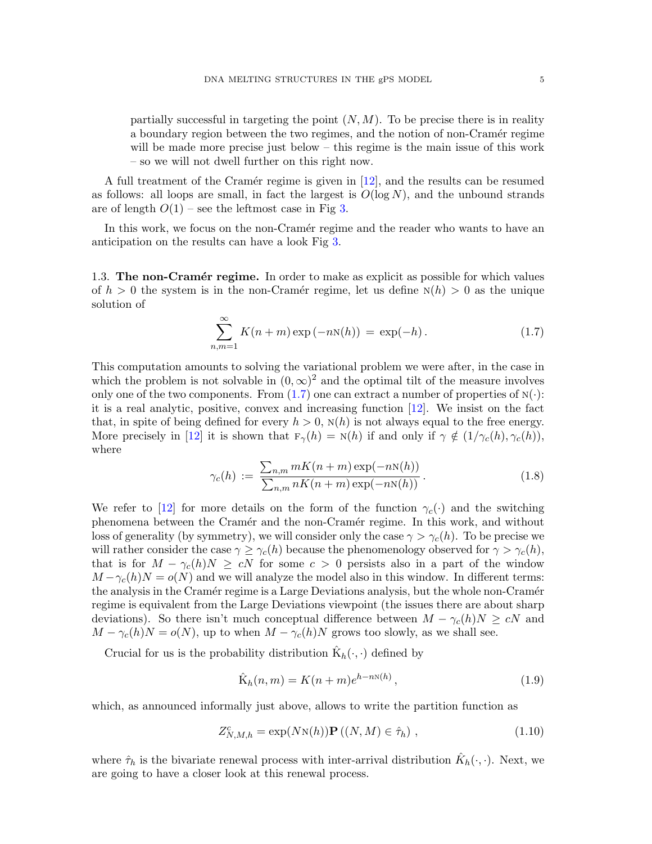partially successful in targeting the point  $(N, M)$ . To be precise there is in reality a boundary region between the two regimes, and the notion of non-Cramér regime will be made more precise just below – this regime is the main issue of this work – so we will not dwell further on this right now.

A full treatment of the Cramér regime is given in  $[12]$ , and the results can be resumed as follows: all loops are small, in fact the largest is  $O(\log N)$ , and the unbound strands are of length  $O(1)$  – see the leftmost case in Fig [3.](#page-7-0)

In this work, we focus on the non-Cramér regime and the reader who wants to have an anticipation on the results can have a look Fig [3.](#page-7-0)

1.3. The non-Cramér regime. In order to make as explicit as possible for which values of  $h > 0$  the system is in the non-Cramér regime, let us define  $N(h) > 0$  as the unique solution of

<span id="page-4-0"></span>
$$
\sum_{n,m=1}^{\infty} K(n+m) \exp(-nN(h)) = \exp(-h).
$$
 (1.7)

This computation amounts to solving the variational problem we were after, in the case in which the problem is not solvable in  $(0, \infty)^2$  and the optimal tilt of the measure involves only one of the two components. From  $(1.7)$  one can extract a number of properties of  $N(\cdot)$ : it is a real analytic, positive, convex and increasing function [\[12\]](#page-28-1). We insist on the fact that, in spite of being defined for every  $h > 0$ ,  $N(h)$  is not always equal to the free energy. More precisely in [\[12\]](#page-28-1) it is shown that  $F_{\gamma}(h) = N(h)$  if and only if  $\gamma \notin (1/\gamma_c(h), \gamma_c(h)),$ where

<span id="page-4-2"></span>
$$
\gamma_c(h) := \frac{\sum_{n,m} mK(n+m) \exp(-nN(h))}{\sum_{n,m} nK(n+m) \exp(-nN(h))}.
$$
\n(1.8)

We refer to [\[12\]](#page-28-1) for more details on the form of the function  $\gamma_c(\cdot)$  and the switching phenomena between the Cram´er and the non-Cram´er regime. In this work, and without loss of generality (by symmetry), we will consider only the case  $\gamma > \gamma_c(h)$ . To be precise we will rather consider the case  $\gamma \geq \gamma_c(h)$  because the phenomenology observed for  $\gamma > \gamma_c(h)$ , that is for  $M - \gamma_c(h)N \geq cN$  for some  $c > 0$  persists also in a part of the window  $M - \gamma_c(h)N = o(N)$  and we will analyze the model also in this window. In different terms: the analysis in the Cramér regime is a Large Deviations analysis, but the whole non-Cramér regime is equivalent from the Large Deviations viewpoint (the issues there are about sharp deviations). So there isn't much conceptual difference between  $M - \gamma_c(h)N \geq cN$  and  $M - \gamma_c(h)N = o(N)$ , up to when  $M - \gamma_c(h)N$  grows too slowly, as we shall see.

Crucial for us is the probability distribution  $\hat{K}_h(\cdot, \cdot)$  defined by

<span id="page-4-1"></span>
$$
\hat{\mathbf{K}}_h(n,m) = K(n+m)e^{h-n\mathbf{N}(h)},
$$
\n(1.9)

which, as announced informally just above, allows to write the partition function as

$$
Z_{N,M,h}^c = \exp(N\mathrm{N}(h))\mathbf{P}((N,M) \in \hat{\tau}_h), \qquad (1.10)
$$

where  $\hat{\tau}_h$  is the bivariate renewal process with inter-arrival distribution  $\hat{K}_h(\cdot, \cdot)$ . Next, we are going to have a closer look at this renewal process.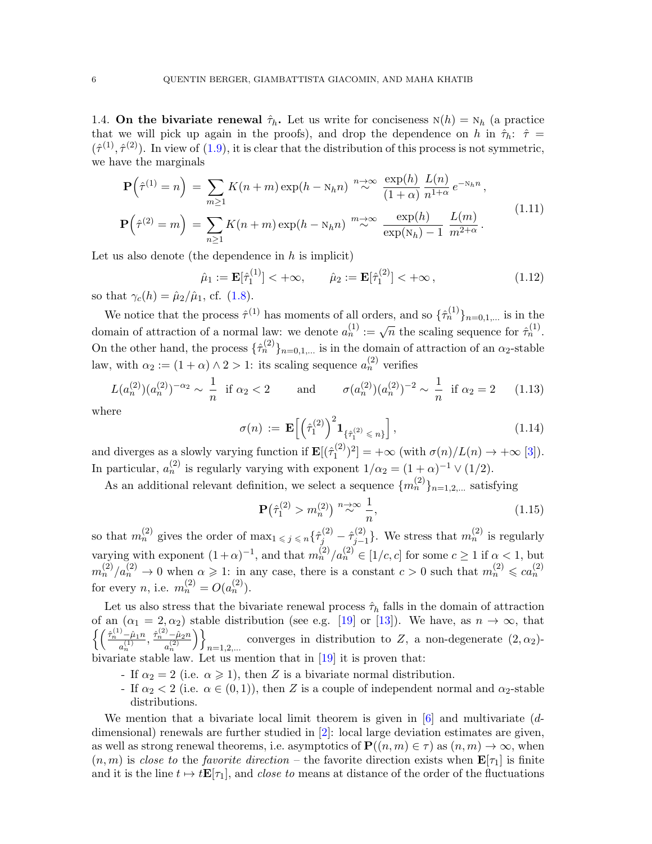1.4. On the bivariate renewal  $\hat{\tau}_h$ . Let us write for conciseness  $N(h) = N_h$  (a practice that we will pick up again in the proofs), and drop the dependence on h in  $\hat{\tau}_h$ :  $\hat{\tau}$  =  $(\hat{\tau}^{(1)}, \hat{\tau}^{(2)})$ . In view of  $(1.9)$ , it is clear that the distribution of this process is not symmetric, we have the marginals

<span id="page-5-1"></span>
$$
\mathbf{P}\left(\hat{\tau}^{(1)}=n\right) = \sum_{m\geq 1} K(n+m) \exp(h - N_h n) \stackrel{n\to\infty}{\sim} \frac{\exp(h)}{(1+\alpha)} \frac{L(n)}{n^{1+\alpha}} e^{-N_h n},
$$

$$
\mathbf{P}\left(\hat{\tau}^{(2)}=m\right) = \sum_{n\geq 1} K(n+m) \exp(h - N_h n) \stackrel{m\to\infty}{\sim} \frac{\exp(h)}{\exp(N_h) - 1} \frac{L(m)}{m^{2+\alpha}}.
$$
(1.11)

Let us also denote (the dependence in  $h$  is implicit)

$$
\hat{\mu}_1 := \mathbf{E}[\hat{\tau}_1^{(1)}] < +\infty, \qquad \hat{\mu}_2 := \mathbf{E}[\hat{\tau}_1^{(2)}] < +\infty \,, \tag{1.12}
$$

so that  $\gamma_c(h) = \hat{\mu}_2/\hat{\mu}_1$ , cf. [\(1.8\)](#page-4-2).

We notice that the process  $\hat{\tau}^{(1)}$  has moments of all orders, and so  $\{\hat{\tau}_n^{(1)}\}_{n=0,1,...}$  is in the domain of attraction of a normal law: we denote  $a_n^{(1)} := \sqrt{n}$  the scaling sequence for  $\hat{\tau}_n^{(1)}$ . On the other hand, the process  $\{\hat{\tau}_n^{(2)}\}_{n=0,1,...}$  is in the domain of attraction of an  $\alpha_2$ -stable law, with  $\alpha_2 := (1 + \alpha) \wedge 2 > 1$ : its scaling sequence  $a_n^{(2)}$  verifies

<span id="page-5-0"></span>
$$
L(a_n^{(2)})(a_n^{(2)})^{-\alpha_2} \sim \frac{1}{n} \text{ if } \alpha_2 < 2 \quad \text{and} \quad \sigma(a_n^{(2)})(a_n^{(2)})^{-2} \sim \frac{1}{n} \text{ if } \alpha_2 = 2 \quad (1.13)
$$

where

$$
\sigma(n) := \mathbf{E}\left[\left(\hat{\tau}_1^{(2)}\right)^2 \mathbf{1}_{\{\hat{\tau}_1^{(2)} \le n\}}\right],\tag{1.14}
$$

and diverges as a slowly varying function if  $\mathbf{E}[(\hat{\tau}_1^{(2)})$  $\binom{1}{1}^2 = +\infty$  (with  $\sigma(n)/L(n) \to +\infty$  [\[3\]](#page-28-11)). In particular,  $a_n^{(2)}$  is regularly varying with exponent  $1/\alpha_2 = (1+\alpha)^{-1} \vee (1/2)$ .

As an additional relevant definition, we select a sequence  $\{m_n^{(2)}\}_{n=1,2,...}$  satisfying

<span id="page-5-2"></span>
$$
\mathbf{P}\left(\hat{\tau}_1^{(2)} > m_n^{(2)}\right) \stackrel{n \to \infty}{\sim} \frac{1}{n},\tag{1.15}
$$

so that  $m_n^{(2)}$  gives the order of  $\max_{1 \leq j \leq n} {\hat{\tau}}_j^{(2)} - \hat{\tau}_{j-1}^{(2)}$  $\binom{2}{j-1}$ . We stress that  $m_n^{(2)}$  is regularly varying with exponent  $(1+\alpha)^{-1}$ , and that  $m_n^{(2)}/a_n^{(2)} \in [1/c, c]$  for some  $c \ge 1$  if  $\alpha < 1$ , but  $m_n^{(2)}/a_n^{(2)} \to 0$  when  $\alpha \geq 1$ : in any case, there is a constant  $c > 0$  such that  $m_n^{(2)} \leqslant ca_n^{(2)}$ for every *n*, i.e.  $m_n^{(2)} = O(a_n^{(2)})$ .

Let us also stress that the bivariate renewal process  $\hat{\tau}_h$  falls in the domain of attraction of an  $(\alpha_1 = 2, \alpha_2)$  stable distribution (see e.g. [\[19\]](#page-28-12) or [\[13\]](#page-28-13)). We have, as  $n \to \infty$ , that  $\int \left( \frac{\hat{\tau}_n^{(1)} - \hat{\mu}_1 n}{\sigma} \right)$  $\frac{\hat{\mu}_1(n)}{a_n^{(1)}}, \frac{\hat{\tau}_n^{(2)} - \hat{\mu}_2 n}{a_n^{(2)}}$  $a_n^{(2)}$  $\setminus$ converges in distribution to Z, a non-degenerate  $(2, \alpha_2)$ -<br>n=1,2,... bivariate stable law. Let us mention that in [\[19\]](#page-28-12) it is proven that:

- If  $\alpha_2 = 2$  (i.e.  $\alpha \geq 1$ ), then Z is a bivariate normal distribution.
- If  $\alpha_2 < 2$  (i.e.  $\alpha \in (0,1)$ ), then Z is a couple of independent normal and  $\alpha_2$ -stable distributions.

We mention that a bivariate local limit theorem is given in [\[6\]](#page-28-14) and multivariate  $(d$ dimensional) renewals are further studied in [\[2\]](#page-28-15): local large deviation estimates are given, as well as strong renewal theorems, i.e. asymptotics of  $\mathbf{P}((n, m) \in \tau)$  as  $(n, m) \to \infty$ , when  $(n, m)$  is close to the favorite direction – the favorite direction exists when  $\mathbf{E}[\tau_1]$  is finite and it is the line  $t \mapsto t\mathbf{E}[\tau_1]$ , and *close to* means at distance of the order of the fluctuations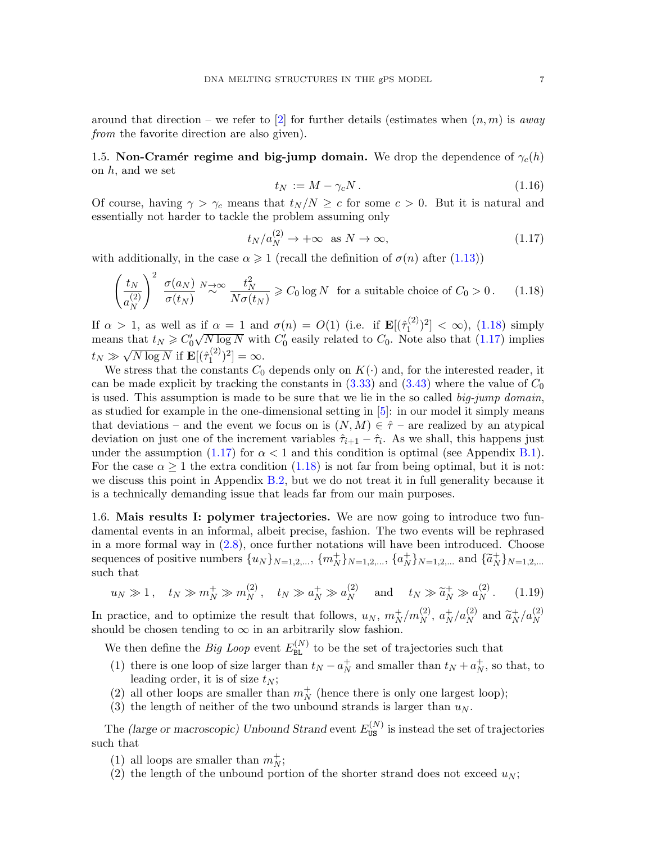around that direction – we refer to [\[2\]](#page-28-15) for further details (estimates when  $(n, m)$  is away from the favorite direction are also given).

<span id="page-6-3"></span>1.5. Non-Cramér regime and big-jump domain. We drop the dependence of  $\gamma_c(h)$ on  $h$ , and we set

$$
t_N := M - \gamma_c N. \tag{1.16}
$$

Of course, having  $\gamma > \gamma_c$  means that  $t_N/N \geq c$  for some  $c > 0$ . But it is natural and essentially not harder to tackle the problem assuming only

<span id="page-6-1"></span>
$$
t_N/a_N^{(2)} \to +\infty \quad \text{as } N \to \infty,\tag{1.17}
$$

with additionally, in the case  $\alpha \geq 1$  (recall the definition of  $\sigma(n)$  after [\(1.13\)](#page-5-0))

<span id="page-6-0"></span>
$$
\left(\frac{t_N}{a_N^{(2)}}\right)^2 \frac{\sigma(a_N)}{\sigma(t_N)} \stackrel{N \to \infty}{\sim} \frac{t_N^2}{N\sigma(t_N)} \geqslant C_0 \log N \quad \text{for a suitable choice of } C_0 > 0. \tag{1.18}
$$

If  $\alpha > 1$ , as well as if  $\alpha = 1$  and  $\sigma(n) = O(1)$  (i.e. if  $\mathbf{E}[(\hat{\tau}_1^{(2)})]$  $\binom{1}{1}^2 < \infty$ ,  $(1.18)$  simply means that  $t_N \geq C'_0 \sqrt{N \log N}$  with  $C'_0$  easily related to  $C_0$ . Note also that [\(1.17\)](#page-6-1) implies  $t_N \gg \sqrt{N \log N}$  if  $\mathbf{E}[(\hat{\tau}_1^{(2)})$  $\binom{2}{1}^2 = \infty.$ 

We stress that the constants  $C_0$  depends only on  $K(\cdot)$  and, for the interested reader, it can be made explicit by tracking the constants in  $(3.33)$  and  $(3.43)$  where the value of  $C_0$ is used. This assumption is made to be sure that we lie in the so called  $big\llsub>join$  domain, as studied for example in the one-dimensional setting in [\[5\]](#page-28-10): in our model it simply means that deviations – and the event we focus on is  $(N, M) \in \hat{\tau}$  – are realized by an atypical deviation on just one of the increment variables  $\hat{\tau}_{i+1} - \hat{\tau}_i$ . As we shall, this happens just under the assumption [\(1.17\)](#page-6-1) for  $\alpha < 1$  and this condition is optimal (see Appendix [B.1\)](#page-25-0). For the case  $\alpha \geq 1$  the extra condition [\(1.18\)](#page-6-0) is not far from being optimal, but it is not: we discuss this point in Appendix [B.2,](#page-26-0) but we do not treat it in full generality because it is a technically demanding issue that leads far from our main purposes.

1.6. Mais results I: polymer trajectories. We are now going to introduce two fundamental events in an informal, albeit precise, fashion. The two events will be rephrased in a more formal way in [\(2.8\)](#page-9-0), once further notations will have been introduced. Choose sequences of positive numbers  $\{u_N\}_{N=1,2,...}$ ,  $\{m_N^+\}_{N=1,2,...}$ ,  $\{a_N^+\}$  ${}_{N}^{+}\}_{N=1,2,...}$  and  $\{\tilde{a}_{N}^{+}$  $_N\}N=1,2,...$ such that

<span id="page-6-2"></span>
$$
u_N \gg 1
$$
,  $t_N \gg m_N^+ \gg m_N^{(2)}$ ,  $t_N \gg a_N^+ \gg a_N^{(2)}$  and  $t_N \gg \tilde{a}_N^+ \gg a_N^{(2)}$ . (1.19)

In practice, and to optimize the result that follows,  $u_N$ ,  $m_N^+/m_N^{(2)}$ ,  $a_N^+$  $N/R_N^{(2)}$  and  $\tilde{a}_N^+$  $N / a_N^{(2)}$ should be chosen tending to  $\infty$  in an arbitrarily slow fashion.

We then define the *Big Loop* event  $E_{BL}^{(N)}$  to be the set of trajectories such that

- (1) there is one loop of size larger than  $t_N a_N^+$  $N<sub>N</sub>$  and smaller than  $t<sub>N</sub> + a<sub>N</sub><sup>+</sup>$  $_N^+$ , so that, to leading order, it is of size  $t_N$ ;
- (2) all other loops are smaller than  $m_N^+$  (hence there is only one largest loop);
- (3) the length of neither of the two unbound strands is larger than  $u_N$ .

The (large or macroscopic) Unbound Strand event  $E_{\text{US}}^{(N)}$  is instead the set of trajectories such that

- (1) all loops are smaller than  $m_N^+;$
- (2) the length of the unbound portion of the shorter strand does not exceed  $u_N$ ;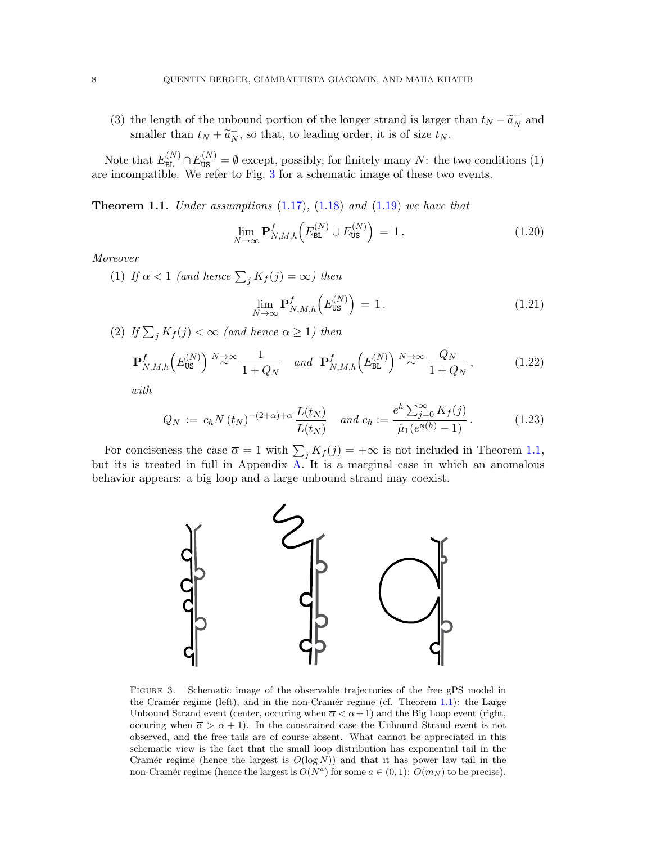(3) the length of the unbound portion of the longer strand is larger than  $t_N - \tilde{a}_N^+$ <br>explicit than the longitude order it is of size to  $_N^+$  and smaller than  $t_N + \tilde{a}_N^+$  $_N^+$ , so that, to leading order, it is of size  $t_N$ .

Note that  $E_{BL}^{(N)} \cap E_{US}^{(N)} = \emptyset$  except, possibly, for finitely many N: the two conditions (1) are incompatible. We refer to Fig. [3](#page-7-0) for a schematic image of these two events.

<span id="page-7-1"></span>**Theorem 1.1.** Under assumptions  $(1.17)$ ,  $(1.18)$  and  $(1.19)$  we have that

$$
\lim_{N \to \infty} \mathbf{P}_{N,M,h}^f\left(E_{\text{BL}}^{(N)} \cup E_{\text{US}}^{(N)}\right) = 1. \tag{1.20}
$$

Moreover

(1) If  $\overline{\alpha} < 1$  (and hence  $\sum_j K_j(j) = \infty$ ) then

$$
\lim_{N \to \infty} \mathbf{P}_{N,M,h}^f\left(E_{\text{US}}^{(N)}\right) = 1. \tag{1.21}
$$

(2) If  $\sum_j K_f(j) < \infty$  (and hence  $\overline{\alpha} \ge 1$ ) then

<span id="page-7-2"></span>
$$
\mathbf{P}_{N,M,h}^{f}\left(E_{\text{US}}^{(N)}\right) \stackrel{N \to \infty}{\sim} \frac{1}{1 + Q_N} \quad \text{and} \quad \mathbf{P}_{N,M,h}^{f}\left(E_{\text{BL}}^{(N)}\right) \stackrel{N \to \infty}{\sim} \frac{Q_N}{1 + Q_N},\tag{1.22}
$$

with

$$
Q_N := c_h N(t_N)^{-(2+\alpha)+\overline{\alpha}} \frac{L(t_N)}{\overline{L}(t_N)} \quad \text{and } c_h := \frac{e^h \sum_{j=0}^{\infty} K_f(j)}{\hat{\mu}_1(e^{N(h)} - 1)}.
$$
 (1.23)

For conciseness the case  $\overline{\alpha} = 1$  with  $\sum_j K_j(j) = +\infty$  is not included in Theorem [1.1,](#page-7-1) but its is treated in full in Appendix [A.](#page-23-0) It is a marginal case in which an anomalous behavior appears: a big loop and a large unbound strand may coexist.



<span id="page-7-0"></span>FIGURE 3. Schematic image of the observable trajectories of the free gPS model in the Cramér regime (left), and in the non-Cramér regime (cf. Theorem [1.1\)](#page-7-1): the Large Unbound Strand event (center, occuring when  $\overline{\alpha} < \alpha + 1$ ) and the Big Loop event (right, occuring when  $\bar{\alpha} > \alpha + 1$ . In the constrained case the Unbound Strand event is not observed, and the free tails are of course absent. What cannot be appreciated in this schematic view is the fact that the small loop distribution has exponential tail in the Cramér regime (hence the largest is  $O(log N)$ ) and that it has power law tail in the non-Cramér regime (hence the largest is  $O(N^a)$  for some  $a \in (0,1)$ :  $O(m_N)$  to be precise).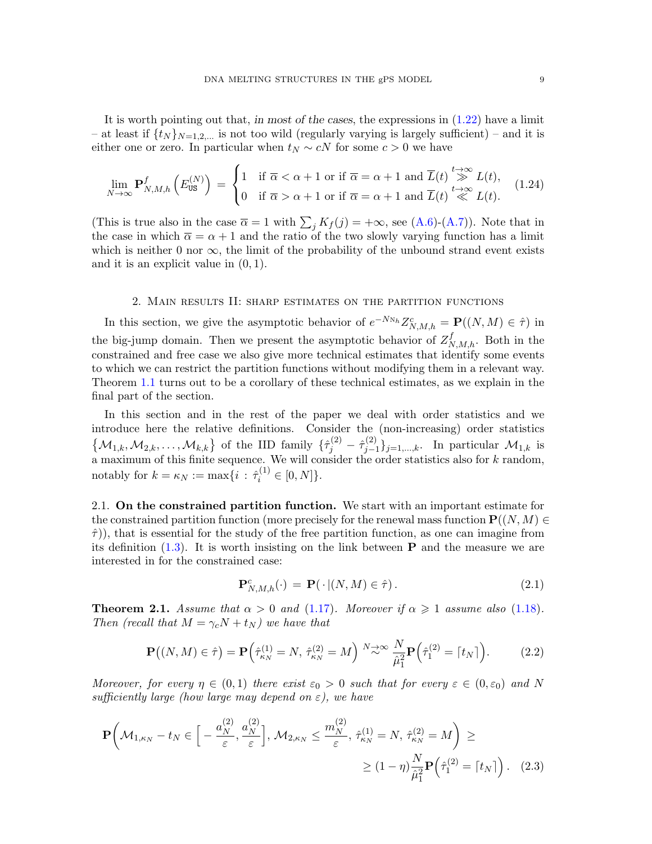It is worth pointing out that, in most of the cases, the expressions in [\(1.22\)](#page-7-2) have a limit – at least if  $\{t_N\}_{N=1,2,...}$  is not too wild (regularly varying is largely sufficient) – and it is either one or zero. In particular when  $t_N \sim cN$  for some  $c > 0$  we have

$$
\lim_{N \to \infty} \mathbf{P}_{N,M,h}^{f}\left(E_{\text{US}}^{(N)}\right) = \begin{cases} 1 & \text{if } \overline{\alpha} < \alpha + 1 \text{ or if } \overline{\alpha} = \alpha + 1 \text{ and } \overline{L}(t) \stackrel{t \to \infty}{\gg} L(t), \\ 0 & \text{if } \overline{\alpha} > \alpha + 1 \text{ or if } \overline{\alpha} = \alpha + 1 \text{ and } \overline{L}(t) \stackrel{t \to \infty}{\ll} L(t). \end{cases} \tag{1.24}
$$

(This is true also in the case  $\overline{\alpha} = 1$  with  $\sum_j K_j(j) = +\infty$ , see [\(A.6\)](#page-25-1)-[\(A.7\)](#page-25-2)). Note that in the case in which  $\bar{\alpha} = \alpha + 1$  and the ratio of the two slowly varying function has a limit which is neither 0 nor  $\infty$ , the limit of the probability of the unbound strand event exists and it is an explicit value in  $(0, 1)$ .

#### 2. Main results II: sharp estimates on the partition functions

In this section, we give the asymptotic behavior of  $e^{-N_{N_h}}Z_{N,M,h}^c = \mathbf{P}((N,M) \in \hat{\tau})$  in the big-jump domain. Then we present the asymptotic behavior of  $Z_{N,M,h}^f$ . Both in the constrained and free case we also give more technical estimates that identify some events to which we can restrict the partition functions without modifying them in a relevant way. Theorem [1.1](#page-7-1) turns out to be a corollary of these technical estimates, as we explain in the final part of the section.

In this section and in the rest of the paper we deal with order statistics and we introduce here the relative definitions. Consider the (non-increasing) order statistics  $\{\mathcal{M}_{1,k}, \mathcal{M}_{2,k}, \ldots, \mathcal{M}_{k,k}\}\$  of the IID family  $\{\hat{\tau}_j^{(2)} - \hat{\tau}_{j-1}^{(2)}\}$  $\{y_{j-1}\}_{j=1,\ldots,k}$ . In particular  $\mathcal{M}_{1,k}$  is a maximum of this finite sequence. We will consider the order statistics also for  $k$  random, notably for  $k = \kappa_N := \max\{i : \hat{\tau}_i^{(1)} \in [0, N]\}.$ 

2.1. On the constrained partition function. We start with an important estimate for the constrained partition function (more precisely for the renewal mass function  $\mathbf{P}((N, M) \in$  $\hat{\tau}$ ), that is essential for the study of the free partition function, as one can imagine from its definition  $(1.3)$ . It is worth insisting on the link between **P** and the measure we are interested in for the constrained case:

<span id="page-8-1"></span>
$$
\mathbf{P}_{N,M,h}^{c}(\cdot) = \mathbf{P}(\cdot | (N,M) \in \hat{\tau}). \tag{2.1}
$$

<span id="page-8-0"></span>**Theorem 2.1.** Assume that  $\alpha > 0$  and [\(1.17\)](#page-6-1). Moreover if  $\alpha \ge 1$  assume also [\(1.18\)](#page-6-0). Then (recall that  $M = \gamma_c N + t_N$ ) we have that

<span id="page-8-2"></span>
$$
\mathbf{P}((N,M) \in \hat{\tau}) = \mathbf{P}\left(\hat{\tau}_{\kappa_N}^{(1)} = N, \ \hat{\tau}_{\kappa_N}^{(2)} = M\right) \stackrel{N \to \infty}{\sim} \frac{N}{\hat{\mu}_1^2} \mathbf{P}\left(\hat{\tau}_1^{(2)} = \lceil t_N \rceil\right). \tag{2.2}
$$

Moreover, for every  $\eta \in (0,1)$  there exist  $\varepsilon_0 > 0$  such that for every  $\varepsilon \in (0,\varepsilon_0)$  and N sufficiently large (how large may depend on  $\varepsilon$ ), we have

$$
\mathbf{P}\left(\mathcal{M}_{1,\kappa_N} - t_N \in \left[ -\frac{a_N^{(2)}}{\varepsilon}, \frac{a_N^{(2)}}{\varepsilon} \right], \, \mathcal{M}_{2,\kappa_N} \le \frac{m_N^{(2)}}{\varepsilon}, \, \hat{\tau}_{\kappa_N}^{(1)} = N, \, \hat{\tau}_{\kappa_N}^{(2)} = M \right) \ge
$$
\n
$$
\ge (1 - \eta) \frac{N}{\hat{\mu}_1^2} \mathbf{P}\left(\hat{\tau}_1^{(2)} = \lceil t_N \rceil\right). \tag{2.3}
$$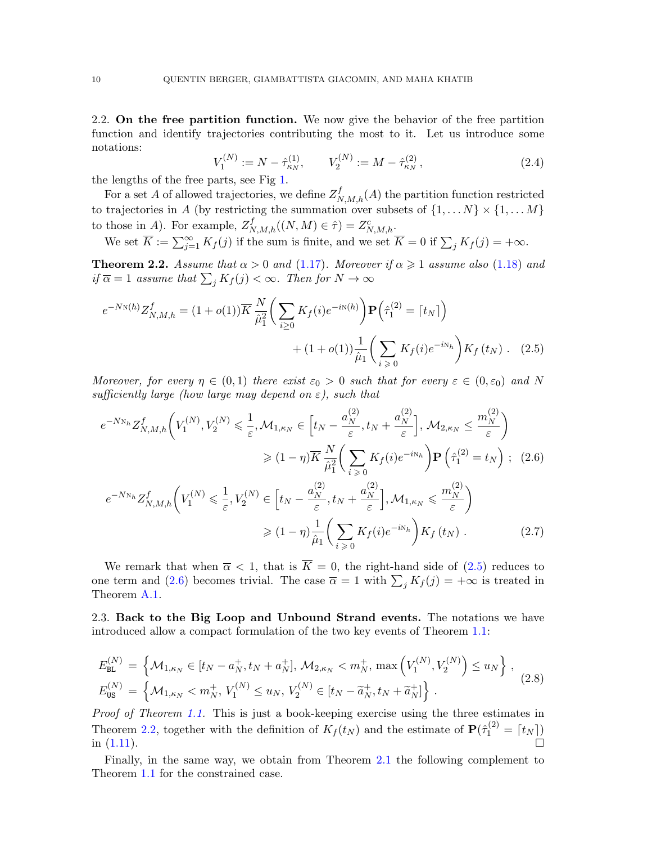2.2. On the free partition function. We now give the behavior of the free partition function and identify trajectories contributing the most to it. Let us introduce some notations:

<span id="page-9-1"></span>
$$
V_1^{(N)} := N - \hat{\tau}_{\kappa_N}^{(1)}, \qquad V_2^{(N)} := M - \hat{\tau}_{\kappa_N}^{(2)}, \tag{2.4}
$$

the lengths of the free parts, see Fig [1.](#page-2-0)

For a set A of allowed trajectories, we define  $Z_{N,M,h}^f(A)$  the partition function restricted to trajectories in A (by restricting the summation over subsets of  $\{1, \ldots N\} \times \{1, \ldots M\}$ to those in A). For example,  $Z_{N,M,h}^f((N,M) \in \hat{\tau}) = Z_{N,M,h}^c$ .

We set  $\overline{K} := \sum_{j=1}^{\infty} K_f(j)$  if the sum is finite, and we set  $\overline{K} = 0$  if  $\sum_j K_j(j) = +\infty$ .

<span id="page-9-3"></span>**Theorem 2.2.** Assume that  $\alpha > 0$  and [\(1.17\)](#page-6-1). Moreover if  $\alpha \geq 1$  assume also [\(1.18\)](#page-6-0) and if  $\overline{\alpha} = 1$  assume that  $\sum_j K_j(j) < \infty$ . Then for  $N \to \infty$ 

$$
e^{-N\mathcal{N}(h)}Z_{N,M,h}^{f} = (1+o(1))\overline{K}\frac{N}{\hat{\mu}_{1}^{2}}\bigg(\sum_{i\geq 0}K_{f}(i)e^{-i\mathcal{N}(h)}\bigg)\mathbf{P}\bigg(\hat{\tau}_{1}^{(2)} = \lceil t_{N} \rceil\bigg) + (1+o(1))\frac{1}{\hat{\mu}_{1}}\bigg(\sum_{i\geq 0}K_{f}(i)e^{-i\mathcal{N}_{h}}\bigg)K_{f}(t_{N}). \quad (2.5)
$$

Moreover, for every  $\eta \in (0,1)$  there exist  $\varepsilon_0 > 0$  such that for every  $\varepsilon \in (0,\varepsilon_0)$  and N sufficiently large (how large may depend on  $\varepsilon$ ), such that

<span id="page-9-2"></span>
$$
e^{-N_{N_h}} Z_{N,M,h}^f\left(V_1^{(N)}, V_2^{(N)} \le \frac{1}{\varepsilon}, \mathcal{M}_{1,\kappa_N} \in \left[t_N - \frac{a_N^{(2)}}{\varepsilon}, t_N + \frac{a_N^{(2)}}{\varepsilon}\right], \mathcal{M}_{2,\kappa_N} \le \frac{m_N^{(2)}}{\varepsilon}\right)
$$
  

$$
\ge (1 - \eta)\overline{K} \frac{N}{\hat{\mu}_1^2} \left(\sum_{i \ge 0} K_f(i)e^{-i\aleph_h}\right) \mathbf{P}\left(\hat{\tau}_1^{(2)} = t_N\right); \quad (2.6)
$$
  

$$
e^{-N_{N_h}} Z_{N,M,h}^f\left(V_1^{(N)} \le \frac{1}{\varepsilon}, V_2^{(N)} \in \left[t_N - \frac{a_N^{(2)}}{\varepsilon}, t_N + \frac{a_N^{(2)}}{\varepsilon}\right], \mathcal{M}_{1,\kappa_N} \le \frac{m_N^{(2)}}{\varepsilon}\right)
$$
  

$$
\ge (1 - \eta)\frac{1}{\hat{\mu}_1} \left(\sum_{i \ge 0} K_f(i)e^{-iN_h}\right) K_f(t_N) \,. \tag{2.7}
$$

<span id="page-9-4"></span>We remark that when  $\overline{\alpha}$  < 1, that is  $\overline{K} = 0$ , the right-hand side of [\(2.5\)](#page-9-1) reduces to one term and [\(2.6\)](#page-9-2) becomes trivial. The case  $\bar{\alpha} = 1$  with  $\sum_j K_j(j) = +\infty$  is treated in Theorem [A.1.](#page-24-0)

2.3. Back to the Big Loop and Unbound Strand events. The notations we have introduced allow a compact formulation of the two key events of Theorem [1.1:](#page-7-1)

<span id="page-9-0"></span>
$$
E_{BL}^{(N)} = \left\{ \mathcal{M}_{1,\kappa_N} \in [t_N - a_N^+, t_N + a_N^+], \, \mathcal{M}_{2,\kappa_N} < m_N^+, \, \max\left( V_1^{(N)}, V_2^{(N)} \right) \le u_N \right\},
$$
\n
$$
E_{US}^{(N)} = \left\{ \mathcal{M}_{1,\kappa_N} < m_N^+, V_1^{(N)} \le u_N, \, V_2^{(N)} \in [t_N - \tilde{a}_N^+, t_N + \tilde{a}_N^+] \right\}.
$$
\n
$$
(2.8)
$$

Proof of Theorem [1.1.](#page-7-1) This is just a book-keeping exercise using the three estimates in Theorem [2.2,](#page-9-3) together with the definition of  $K_f(t_N)$  and the estimate of  $\mathbf{P}(\hat{\tau}_1^{(2)} = [t_N])$ in  $(1.11)$ .

Finally, in the same way, we obtain from Theorem [2.1](#page-8-0) the following complement to Theorem [1.1](#page-7-1) for the constrained case.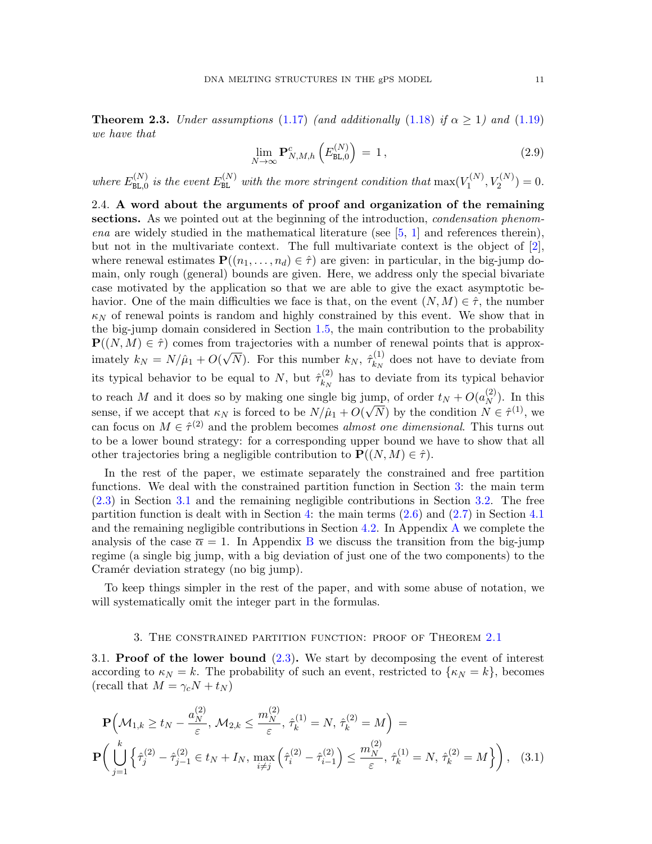**Theorem 2.3.** Under assumptions [\(1.17\)](#page-6-1) (and additionally [\(1.18\)](#page-6-0) if  $\alpha \ge 1$ ) and [\(1.19\)](#page-6-2) we have that

$$
\lim_{N \to \infty} \mathbf{P}_{N,M,h}^c \left( E_{\text{BL},0}^{(N)} \right) = 1, \qquad (2.9)
$$

where  $E_{\text{BL,0}}^{(N)}$  $\epsilon_{\texttt{BL},0}^{(N)}$  is the event  $E_{\texttt{BL}}^{(N)}$  with the more stringent condition that  $\max(V_1^{(N)})$  $Y_1^{(N)}, Y_2^{(N)} = 0.$ 

2.4. A word about the arguments of proof and organization of the remaining sections. As we pointed out at the beginning of the introduction, *condensation phenomena* are widely studied in the mathematical literature (see  $[5, 1]$  $[5, 1]$  $[5, 1]$  and references therein), but not in the multivariate context. The full multivariate context is the object of [\[2\]](#page-28-15), where renewal estimates  $\mathbf{P}((n_1, \ldots, n_d) \in \hat{\tau})$  are given: in particular, in the big-jump domain, only rough (general) bounds are given. Here, we address only the special bivariate case motivated by the application so that we are able to give the exact asymptotic behavior. One of the main difficulties we face is that, on the event  $(N, M) \in \hat{\tau}$ , the number  $\kappa_N$  of renewal points is random and highly constrained by this event. We show that in the big-jump domain considered in Section [1.5,](#page-6-3) the main contribution to the probability  $\mathbf{P}((N, M) \in \hat{\tau})$  comes from trajectories with a number of renewal points that is approximately  $k_N = N/\hat{\mu}_1 + O(\sqrt{N})$ . For this number  $k_N$ ,  $\hat{\tau}_{k_N}^{(1)}$  $\kappa_N^{(1)}$  does not have to deviate from its typical behavior to be equal to N, but  $\hat{\tau}_{k_N}^{(2)}$  $\frac{k_N}{k_N}$  has to deviate from its typical behavior to reach M and it does so by making one single big jump, of order  $t_N + O(a_N^{(2)})$  $\binom{2}{N}$ . In this sense, if we accept that  $\kappa_N$  is forced to be  $N/\hat{\mu}_1 + O(\sqrt{N})$  by the condition  $N \in \hat{\tau}^{(1)}$ , we can focus on  $M \in \hat{\tau}^{(2)}$  and the problem becomes *almost one dimensional*. This turns out to be a lower bound strategy: for a corresponding upper bound we have to show that all other trajectories bring a negligible contribution to  $\mathbf{P}((N, M) \in \hat{\tau})$ .

In the rest of the paper, we estimate separately the constrained and free partition functions. We deal with the constrained partition function in Section [3:](#page-10-0) the main term [\(2.3\)](#page-8-1) in Section [3.1](#page-10-1) and the remaining negligible contributions in Section [3.2.](#page-13-0) The free partition function is dealt with in Section [4:](#page-17-1) the main terms  $(2.6)$  and  $(2.7)$  in Section [4.1](#page-18-0) and the remaining negligible contributions in Section [4.2.](#page-20-0) In Appendix [A](#page-23-0) we complete the analysis of the case  $\bar{\alpha} = 1$ . In Appendix [B](#page-25-3) we discuss the transition from the big-jump regime (a single big jump, with a big deviation of just one of the two components) to the Cramér deviation strategy (no big jump).

To keep things simpler in the rest of the paper, and with some abuse of notation, we will systematically omit the integer part in the formulas.

#### <span id="page-10-2"></span>3. The constrained partition function: proof of Theorem [2.1](#page-8-0)

<span id="page-10-1"></span><span id="page-10-0"></span>3.1. Proof of the lower bound [\(2.3\)](#page-8-1). We start by decomposing the event of interest according to  $\kappa_N = k$ . The probability of such an event, restricted to  $\{\kappa_N = k\}$ , becomes (recall that  $M = \gamma_c N + t_N$ )

$$
\mathbf{P}\left(\mathcal{M}_{1,k} \ge t_N - \frac{a_N^{(2)}}{\varepsilon}, \mathcal{M}_{2,k} \le \frac{m_N^{(2)}}{\varepsilon}, \hat{\tau}_k^{(1)} = N, \hat{\tau}_k^{(2)} = M\right) =
$$
\n
$$
\mathbf{P}\left(\bigcup_{j=1}^k \left\{\hat{\tau}_j^{(2)} - \hat{\tau}_{j-1}^{(2)} \in t_N + I_N, \max_{i \ne j} \left(\hat{\tau}_i^{(2)} - \hat{\tau}_{i-1}^{(2)}\right) \le \frac{m_N^{(2)}}{\varepsilon}, \hat{\tau}_k^{(1)} = N, \hat{\tau}_k^{(2)} = M\right\}\right), \quad (3.1)
$$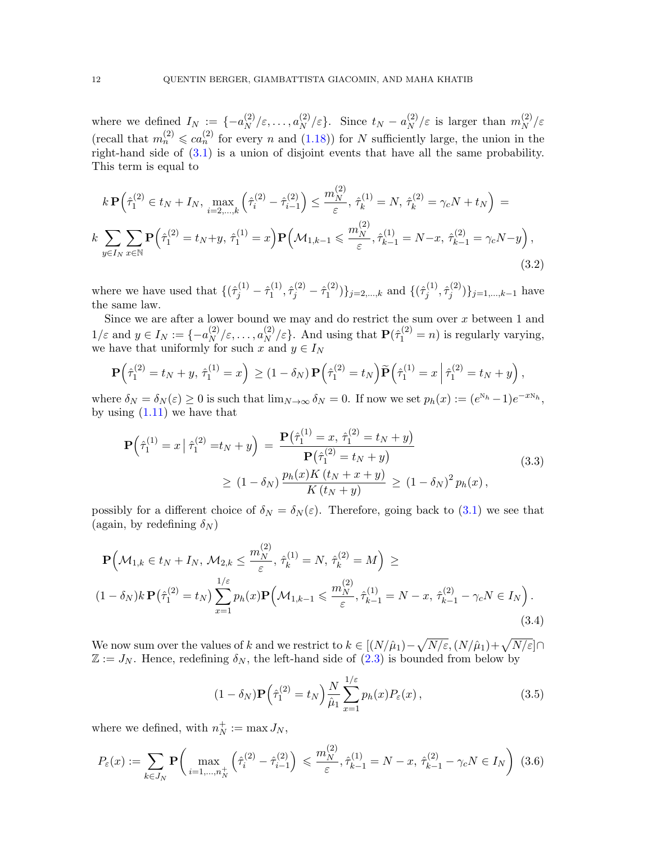where we defined  $I_N := \{-a_N^{(2)}\}$  $\binom{2}{N}$  /  $\varepsilon$ , ...,  $a_N^{(2)}/\varepsilon$ . Since  $t_N - a_N^{(2)}$  $\binom{2}{N}$  /ε is larger than  $m_N^{(2)}$ N /ε (recall that  $m_n^{(2)} \leqslant ca_n^{(2)}$  for every n and  $(1.18)$ ) for N sufficiently large, the union in the right-hand side of  $(3.1)$  is a union of disjoint events that have all the same probability. This term is equal to

$$
k \mathbf{P} \Big( \hat{\tau}_1^{(2)} \in t_N + I_N, \max_{i=2,\dots,k} \Big( \hat{\tau}_i^{(2)} - \hat{\tau}_{i-1}^{(2)} \Big) \le \frac{m_N^{(2)}}{\varepsilon}, \, \hat{\tau}_k^{(1)} = N, \, \hat{\tau}_k^{(2)} = \gamma_c N + t_N \Big) =
$$
  

$$
k \sum_{y \in I_N} \sum_{x \in \mathbb{N}} \mathbf{P} \Big( \hat{\tau}_1^{(2)} = t_N + y, \, \hat{\tau}_1^{(1)} = x \Big) \mathbf{P} \Big( \mathcal{M}_{1,k-1} \le \frac{m_N^{(2)}}{\varepsilon}, \hat{\tau}_{k-1}^{(1)} = N - x, \, \hat{\tau}_{k-1}^{(2)} = \gamma_c N - y \Big) ,
$$
  
(3.2)

where we have used that  $\{(\hat{\tau}_j^{(1)} - \hat{\tau}_1^{(1)}\)$  $\hat{\tau}^{(1)}_j, \hat{\tau}^{(2)}_j - \hat{\tau}^{(2)}_1$  $\{1^{(2)}\}$ <sub>j=2,...,k</sub> and  $\{(\hat{\tau}_j^{(1)}\)$  $\hat{\tau}^{(1)}_j, \hat{\tau}^{(2)}_j$  $\{(\xi_j^{(2)})\}_{j=1,\dots,k-1}$  have the same law.

Since we are after a lower bound we may and do restrict the sum over  $x$  between 1 and  $1/\varepsilon$  and  $y \in I_N := \{-a_N^{(2)}\}$  $\binom{2}{N}$ ,  $\varepsilon, \ldots, \binom{2}{N}$ ,  $\varepsilon$ . And using that  $\mathbf{P}(\hat{\tau}_1^{(2)} = n)$  is regularly varying, we have that uniformly for such x and  $y \in I_N$ 

$$
\mathbf{P}(\hat{\tau}_1^{(2)} = t_N + y, \, \hat{\tau}_1^{(1)} = x) \ge (1 - \delta_N) \, \mathbf{P}(\hat{\tau}_1^{(2)} = t_N) \widetilde{\mathbf{P}}(\hat{\tau}_1^{(1)} = x \, \big| \, \hat{\tau}_1^{(2)} = t_N + y),
$$

where  $\delta_N = \delta_N(\varepsilon) \ge 0$  is such that  $\lim_{N \to \infty} \delta_N = 0$ . If now we set  $p_h(x) := (e^{\aleph_h} - 1)e^{-x\aleph_h}$ , by using  $(1.11)$  we have that

$$
\mathbf{P}\left(\hat{\tau}_1^{(1)} = x \mid \hat{\tau}_1^{(2)} = t_N + y\right) = \frac{\mathbf{P}\left(\hat{\tau}_1^{(1)} = x, \ \hat{\tau}_1^{(2)} = t_N + y\right)}{\mathbf{P}\left(\hat{\tau}_1^{(2)} = t_N + y\right)}
$$
\n
$$
\geq (1 - \delta_N) \frac{p_h(x)K(t_N + x + y)}{K(t_N + y)} \geq (1 - \delta_N)^2 p_h(x),
$$
\n(3.3)

possibly for a different choice of  $\delta_N = \delta_N(\varepsilon)$ . Therefore, going back to [\(3.1\)](#page-10-2) we see that (again, by redefining  $\delta_N$ )

$$
\mathbf{P}\Big(\mathcal{M}_{1,k} \in t_N + I_N, \, \mathcal{M}_{2,k} \le \frac{m_N^{(2)}}{\varepsilon}, \, \hat{\tau}_k^{(1)} = N, \, \hat{\tau}_k^{(2)} = M\Big) \ge (1 - \delta_N)k \, \mathbf{P}\big(\hat{\tau}_1^{(2)} = t_N\big) \sum_{x=1}^{1/\varepsilon} p_h(x) \mathbf{P}\Big(\mathcal{M}_{1,k-1} \le \frac{m_N^{(2)}}{\varepsilon}, \hat{\tau}_{k-1}^{(1)} = N - x, \, \hat{\tau}_{k-1}^{(2)} - \gamma_c N \in I_N\Big).
$$
(3.4)

We now sum over the values of k and we restrict to  $k \in [(N/\hat{\mu}_1) - \sqrt{N/\varepsilon}, (N/\hat{\mu}_1) + \sqrt{N/\varepsilon}] \cap$  $\mathbb{Z} := J_N$ . Hence, redefining  $\delta_N$ , the left-hand side of [\(2.3\)](#page-8-1) is bounded from below by

<span id="page-11-0"></span>
$$
(1 - \delta_N) \mathbf{P} \left( \hat{\tau}_1^{(2)} = t_N \right) \frac{N}{\hat{\mu}_1} \sum_{x=1}^{1/\varepsilon} p_h(x) P_\varepsilon(x) , \qquad (3.5)
$$

where we defined, with  $n_N^+$  $N^+_{N} := \max J_N,$ 

$$
P_{\varepsilon}(x) := \sum_{k \in J_N} \mathbf{P} \bigg( \max_{i=1,\dots,n_N^+} \left( \hat{\tau}_i^{(2)} - \hat{\tau}_{i-1}^{(2)} \right) \leq \frac{m_N^{(2)}}{\varepsilon}, \hat{\tau}_{k-1}^{(1)} = N - x, \ \hat{\tau}_{k-1}^{(2)} - \gamma_c N \in I_N \bigg) \ (3.6)
$$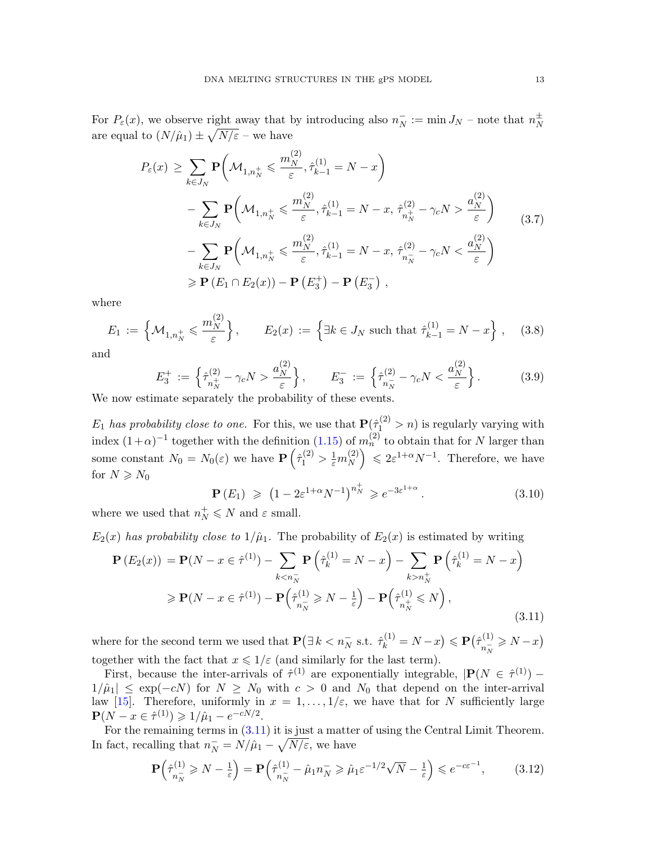For  $P_{\varepsilon}(x)$ , we observe right away that by introducing also  $n_N^ \bar{N} := \min J_N$  – note that  $n_N^{\pm}$ N are equal to  $(N/\hat{\mu}_1) \pm \sqrt{N/\varepsilon}$  – we have

<span id="page-12-2"></span>
$$
P_{\varepsilon}(x) \geq \sum_{k \in J_N} \mathbf{P} \bigg( \mathcal{M}_{1,n_N^+} \leq \frac{m_N^{(2)}}{\varepsilon}, \hat{\tau}_{k-1}^{(1)} = N - x \bigg) - \sum_{k \in J_N} \mathbf{P} \bigg( \mathcal{M}_{1,n_N^+} \leq \frac{m_N^{(2)}}{\varepsilon}, \hat{\tau}_{k-1}^{(1)} = N - x, \ \hat{\tau}_{n_N^+}^{(2)} - \gamma_c N > \frac{a_N^{(2)}}{\varepsilon} \bigg) - \sum_{k \in J_N} \mathbf{P} \bigg( \mathcal{M}_{1,n_N^+} \leq \frac{m_N^{(2)}}{\varepsilon}, \hat{\tau}_{k-1}^{(1)} = N - x, \ \hat{\tau}_{n_N^-}^{(2)} - \gamma_c N < \frac{a_N^{(2)}}{\varepsilon} \bigg) \geq \mathbf{P} \left( E_1 \cap E_2(x) \right) - \mathbf{P} \left( E_3^+ \right) - \mathbf{P} \left( E_3^- \right) ,
$$

where

$$
E_1 := \left\{ \mathcal{M}_{1,n_N^+} \leqslant \frac{m_N^{(2)}}{\varepsilon} \right\}, \qquad E_2(x) := \left\{ \exists k \in J_N \text{ such that } \hat{\tau}_{k-1}^{(1)} = N - x \right\}, \quad (3.8)
$$

and

$$
E_3^+ := \left\{ \hat{\tau}_{n_N^+}^{(2)} - \gamma_c N > \frac{a_N^{(2)}}{\varepsilon} \right\}, \qquad E_3^- := \left\{ \hat{\tau}_{n_N^-}^{(2)} - \gamma_c N < \frac{a_N^{(2)}}{\varepsilon} \right\}. \tag{3.9}
$$

We now estimate separately the probability of these events.

 $E_1$  has probability close to one. For this, we use that  $\mathbf{P}(\hat{\tau}_1^{(2)} > n)$  is regularly varying with index  $(1+\alpha)^{-1}$  together with the definition  $(1.15)$  of  $m_n^{(2)}$  to obtain that for N larger than some constant  $N_0 = N_0(\varepsilon)$  we have  $\mathbf{P}\left(\hat{\tau}_1^{(2)} > \frac{1}{\varepsilon}m_N^{(2)}\right)$  $\binom{2}{N} \leq 2\varepsilon^{1+\alpha}N^{-1}$ . Therefore, we have for  $N \ge N_0$ 

<span id="page-12-1"></span>
$$
\mathbf{P}(E_1) \geq (1 - 2\varepsilon^{1+\alpha} N^{-1})^{n_N^+} \geq e^{-3\varepsilon^{1+\alpha}}.
$$
 (3.10)

where we used that  $n_N^+ \leq N$  and  $\varepsilon$  small.

 $E_2(x)$  has probability close to  $1/\hat{\mu}_1$ . The probability of  $E_2(x)$  is estimated by writing

<span id="page-12-0"></span>
$$
\mathbf{P}\left(E_2(x)\right) = \mathbf{P}(N - x \in \hat{\tau}^{(1)}) - \sum_{k < n_N^-} \mathbf{P}\left(\hat{\tau}_k^{(1)} = N - x\right) - \sum_{k > n_N^+} \mathbf{P}\left(\hat{\tau}_k^{(1)} = N - x\right)
$$
\n
$$
\geq \mathbf{P}(N - x \in \hat{\tau}^{(1)}) - \mathbf{P}\left(\hat{\tau}_{n_N^-}^{(1)} \geq N - \frac{1}{\varepsilon}\right) - \mathbf{P}\left(\hat{\tau}_{n_N^+}^{(1)} \leq N\right),\tag{3.11}
$$

where for the second term we used that  $\mathbf{P}(\exists k < n_N^- \text{ s.t. } \hat{\tau}_k^{(1)} = N - x) \leqslant \mathbf{P}(\hat{\tau}_{n_N^-}^{(1)})$  $\frac{n(N+1)}{n(N+1)} \geq N-1$ together with the fact that  $x \leq 1/\varepsilon$  (and similarly for the last term).

First, because the inter-arrivals of  $\hat{\tau}^{(1)}$  are exponentially integrable,  $|\mathbf{P}(N \in \hat{\tau}^{(1)}) 1/\hat{\mu}_1 \leq \exp(-cN)$  for  $N \geq N_0$  with  $c > 0$  and  $N_0$  that depend on the inter-arrival law [\[15\]](#page-28-16). Therefore, uniformly in  $x = 1, \ldots, 1/\varepsilon$ , we have that for N sufficiently large  $P(N - x \in \hat{\tau}^{(1)}) \geq 1/\hat{\mu}_1 - e^{-cN/2}.$ 

For the remaining terms in [\(3.11\)](#page-12-0) it is just a matter of using the Central Limit Theorem. In fact, recalling that  $n_N^- = N/\hat{\mu}_1 - \sqrt{N/\varepsilon}$ , we have

$$
\mathbf{P}\left(\hat{\tau}_{n_N}^{(1)} \ge N - \frac{1}{\varepsilon}\right) = \mathbf{P}\left(\hat{\tau}_{n_N}^{(1)} - \hat{\mu}_1 n_N \ge \hat{\mu}_1 \varepsilon^{-1/2} \sqrt{N} - \frac{1}{\varepsilon}\right) \le e^{-c\varepsilon^{-1}},\tag{3.12}
$$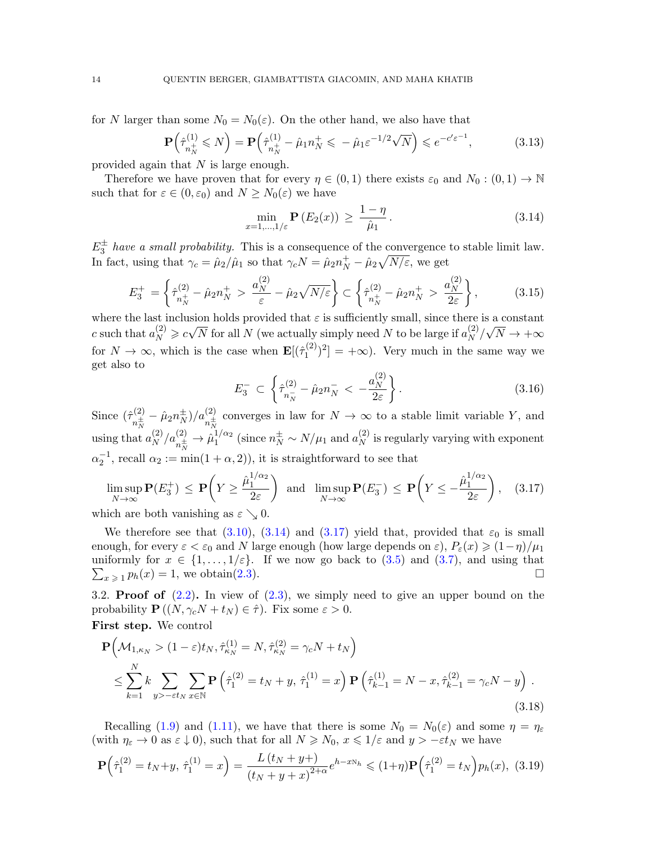for N larger than some  $N_0 = N_0(\varepsilon)$ . On the other hand, we also have that

$$
\mathbf{P}\left(\hat{\tau}_{n_N^+}^{(1)} \leqslant N\right) = \mathbf{P}\left(\hat{\tau}_{n_N^+}^{(1)} - \hat{\mu}_1 n_N^+ \leqslant -\hat{\mu}_1 \varepsilon^{-1/2} \sqrt{N}\right) \leqslant e^{-c'\varepsilon^{-1}},\tag{3.13}
$$

provided again that N is large enough.

Therefore we have proven that for every  $\eta \in (0,1)$  there exists  $\varepsilon_0$  and  $N_0 : (0,1) \to \mathbb{N}$ such that for  $\varepsilon \in (0, \varepsilon_0)$  and  $N \geq N_0(\varepsilon)$  we have

<span id="page-13-1"></span>
$$
\min_{x=1,\ldots,1/\varepsilon} \mathbf{P}\left(E_2(x)\right) \ge \frac{1-\eta}{\hat{\mu}_1}.\tag{3.14}
$$

 $E_3^{\pm}$  have a small probability. This is a consequence of the convergence to stable limit law. In fact, using that  $\gamma_c = \hat{\mu}_2 / \hat{\mu}_1$  so that  $\gamma_c N = \hat{\mu}_2 n_N^+ - \hat{\mu}_2 \sqrt{N/\varepsilon}$ , we get

$$
E_3^+ = \left\{ \hat{\tau}_{n_N^+}^{(2)} - \hat{\mu}_2 n_N^+ > \frac{a_N^{(2)}}{\varepsilon} - \hat{\mu}_2 \sqrt{N/\varepsilon} \right\} \subset \left\{ \hat{\tau}_{n_N^+}^{(2)} - \hat{\mu}_2 n_N^+ > \frac{a_N^{(2)}}{2\varepsilon} \right\},\tag{3.15}
$$

where the last inclusion holds provided that  $\varepsilon$  is sufficiently small, since there is a constant c such that  $a_N^{(2)} \geqslant c\sqrt{N}$  for all N (we actually simply need N to be large if  $a_N^{(2)}$ )  $\binom{2}{N}/\sqrt{N} \rightarrow +\infty$ for  $N \to \infty$ , which is the case when  $\mathbf{E}[(\hat{\tau}_1^{(2)})$  $\binom{1}{1}^2 = +\infty$ . Very much in the same way we get also to

$$
E_3^- \subset \left\{ \hat{\tau}_{n_N^-}^{(2)} - \hat{\mu}_2 n_N^- < -\frac{a_N^{(2)}}{2\varepsilon} \right\}.
$$
 (3.16)

Since  $(\hat{\tau}_{\pm}^{(2)}$  $\hat{\mu}_N^{(2)}-\hat{\mu}_2 n_N^\pm$  $(\frac{1}{N})/a_{n^{\pm}_{N}}^{(2)}$  converges in law for  $N \to \infty$  to a stable limit variable Y, and using that  $a_N^{(2)}$  $\binom{2}{N}$ / $a_{n^{\pm}_{N}}^{(2)} \rightarrow \hat{\mu}_1^{1/\alpha_2}$  $1/\alpha_2$  (since  $n_N^{\pm} \sim N/\mu_1$  and  $a_N^{(2)}$ )  $_N^{(2)}$  is regularly varying with exponent  $\alpha_2^{-1}$ , recall  $\alpha_2 := \min(1 + \alpha, 2)$ , it is straightforward to see that

<span id="page-13-2"></span>
$$
\limsup_{N \to \infty} \mathbf{P}(E_3^+) \le \mathbf{P}\left(Y \ge \frac{\hat{\mu}_1^{1/\alpha_2}}{2\varepsilon}\right) \text{ and } \limsup_{N \to \infty} \mathbf{P}(E_3^-) \le \mathbf{P}\left(Y \le -\frac{\hat{\mu}_1^{1/\alpha_2}}{2\varepsilon}\right), \quad (3.17)
$$
  
which are both vanishing as  $\varepsilon \searrow 0$ .

which are both vanishing as  $\varepsilon \searrow 0$ .

We therefore see that [\(3.10\)](#page-12-1), [\(3.14\)](#page-13-1) and [\(3.17\)](#page-13-2) yield that, provided that  $\varepsilon_0$  is small enough, for every  $\varepsilon < \varepsilon_0$  and N large enough (how large depends on  $\varepsilon$ ),  $P_{\varepsilon}(x) \geqslant (1-\eta)/\mu_1$ uniformly for  $x \in \{1, \ldots, 1/\varepsilon\}$ . If we now go back to  $(3.5)$  and  $(3.7)$ , and using that  $\sum_{x \geq 1} p_h(x) = 1$ , we obtain[\(2.3\)](#page-8-1).

<span id="page-13-0"></span>3.2. **Proof of**  $(2.2)$ . In view of  $(2.3)$ , we simply need to give an upper bound on the probability  $\mathbf{P}((N, \gamma_c N + t_N) \in \hat{\tau})$ . Fix some  $\varepsilon > 0$ . First step. We control

<span id="page-13-3"></span>
$$
\mathbf{P}\Big(\mathcal{M}_{1,\kappa_N} > (1-\varepsilon)t_N, \hat{\tau}_{\kappa_N}^{(1)} = N, \hat{\tau}_{\kappa_N}^{(2)} = \gamma_c N + t_N\Big) \n\leq \sum_{k=1}^N k \sum_{y > -\varepsilon t_N} \sum_{x \in \mathbb{N}} \mathbf{P}\left(\hat{\tau}_1^{(2)} = t_N + y, \hat{\tau}_1^{(1)} = x\right) \mathbf{P}\left(\hat{\tau}_{k-1}^{(1)} = N - x, \hat{\tau}_{k-1}^{(2)} = \gamma_c N - y\right).
$$
\n(3.18)

Recalling [\(1.9\)](#page-4-1) and [\(1.11\)](#page-5-1), we have that there is some  $N_0 = N_0(\varepsilon)$  and some  $\eta = \eta_{\varepsilon}$ (with  $\eta_{\varepsilon} \to 0$  as  $\varepsilon \downarrow 0$ ), such that for all  $N \ge N_0$ ,  $x \le 1/\varepsilon$  and  $y > -\varepsilon t_N$  we have

$$
\mathbf{P}\left(\hat{\tau}_1^{(2)} = t_N + y, \ \hat{\tau}_1^{(1)} = x\right) = \frac{L\left(t_N + y + \right)}{\left(t_N + y + x\right)^{2+\alpha}} e^{h - xN_h} \leqslant (1+\eta)\mathbf{P}\left(\hat{\tau}_1^{(2)} = t_N\right)p_h(x), \ (3.19)
$$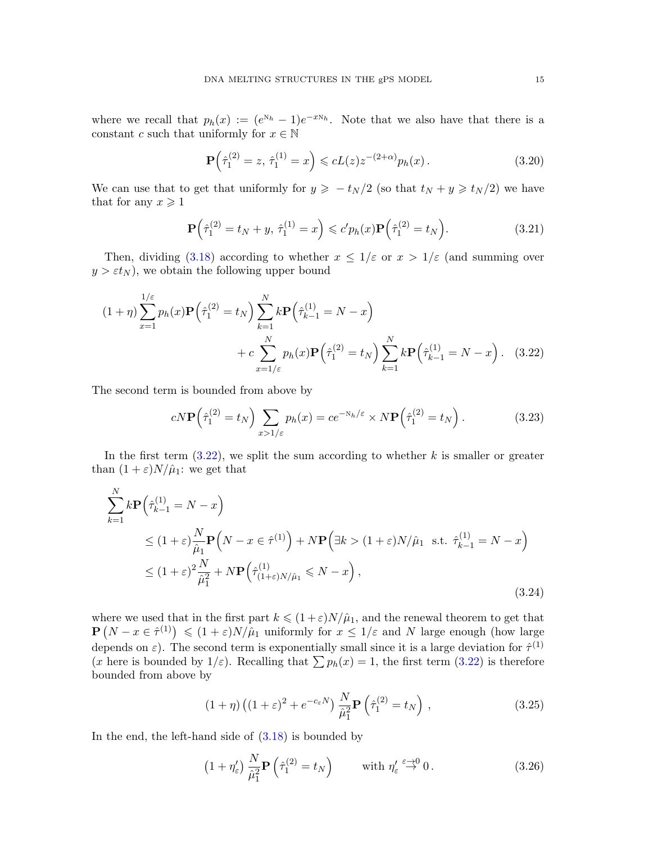where we recall that  $p_h(x) := (e^{\kappa_h} - 1)e^{-x\kappa_h}$ . Note that we also have that there is a constant c such that uniformly for  $x \in \mathbb{N}$ 

<span id="page-14-1"></span>
$$
\mathbf{P}\left(\hat{\tau}_1^{(2)} = z, \ \hat{\tau}_1^{(1)} = x\right) \leqslant cL(z)z^{-(2+\alpha)}p_h(x). \tag{3.20}
$$

We can use that to get that uniformly for  $y \geq -t_N/2$  (so that  $t_N + y \geq t_N/2$ ) we have that for any  $x \geqslant 1$ 

<span id="page-14-0"></span>
$$
\mathbf{P}\left(\hat{\tau}_1^{(2)} = t_N + y, \ \hat{\tau}_1^{(1)} = x\right) \leqslant c' p_h(x) \mathbf{P}\left(\hat{\tau}_1^{(2)} = t_N\right). \tag{3.21}
$$

Then, dividing [\(3.18\)](#page-13-3) according to whether  $x \leq 1/\varepsilon$  or  $x > 1/\varepsilon$  (and summing over  $y > \varepsilon t_N$ , we obtain the following upper bound

$$
(1+\eta)\sum_{x=1}^{1/\varepsilon} p_h(x)\mathbf{P}\left(\hat{\tau}_1^{(2)} = t_N\right)\sum_{k=1}^N k \mathbf{P}\left(\hat{\tau}_{k-1}^{(1)} = N - x\right) + c \sum_{x=1/\varepsilon}^N p_h(x)\mathbf{P}\left(\hat{\tau}_1^{(2)} = t_N\right)\sum_{k=1}^N k \mathbf{P}\left(\hat{\tau}_{k-1}^{(1)} = N - x\right). \tag{3.22}
$$

The second term is bounded from above by

$$
cN\mathbf{P}\left(\hat{\tau}_1^{(2)} = t_N\right) \sum_{x>1/\varepsilon} p_h(x) = c e^{-N_h/\varepsilon} \times N\mathbf{P}\left(\hat{\tau}_1^{(2)} = t_N\right). \tag{3.23}
$$

In the first term  $(3.22)$ , we split the sum according to whether k is smaller or greater than  $(1 + \varepsilon)N/\hat{\mu}_1$ : we get that

$$
\sum_{k=1}^{N} k \mathbf{P} \left( \hat{\tau}_{k-1}^{(1)} = N - x \right)
$$
\n
$$
\leq (1 + \varepsilon) \frac{N}{\hat{\mu}_1} \mathbf{P} \left( N - x \in \hat{\tau}^{(1)} \right) + N \mathbf{P} \left( \exists k > (1 + \varepsilon) N / \hat{\mu}_1 \text{ s.t. } \hat{\tau}_{k-1}^{(1)} = N - x \right)
$$
\n
$$
\leq (1 + \varepsilon)^2 \frac{N}{\hat{\mu}_1^2} + N \mathbf{P} \left( \hat{\tau}_{(1 + \varepsilon) N / \hat{\mu}_1}^{(1)} \leq N - x \right),
$$
\n(3.24)

where we used that in the first part  $k \leq (1+\varepsilon)N/\hat{\mu}_1$ , and the renewal theorem to get that  $\mathbf{P}(N-x \in \hat{\tau}^{(1)}) \leq (1+\varepsilon)N/\hat{\mu}_1$  uniformly for  $x \leq 1/\varepsilon$  and N large enough (how large depends on  $\varepsilon$ ). The second term is exponentially small since it is a large deviation for  $\hat{\tau}^{(1)}$ (x here is bounded by  $1/\varepsilon$ ). Recalling that  $\sum p_h(x) = 1$ , the first term [\(3.22\)](#page-14-0) is therefore bounded from above by

$$
(1+\eta)\left((1+\varepsilon)^2 + e^{-c_{\varepsilon}N}\right)\frac{N}{\hat{\mu}_1^2}\mathbf{P}\left(\hat{\tau}_1^{(2)} = t_N\right),\tag{3.25}
$$

In the end, the left-hand side of  $(3.18)$  is bounded by

$$
\left(1+\eta'_{\varepsilon}\right)\frac{N}{\hat{\mu}_1^2}\mathbf{P}\left(\hat{\tau}_1^{(2)}=t_N\right) \qquad \text{with } \eta'_{\varepsilon} \stackrel{\varepsilon \to 0}{\to} 0. \tag{3.26}
$$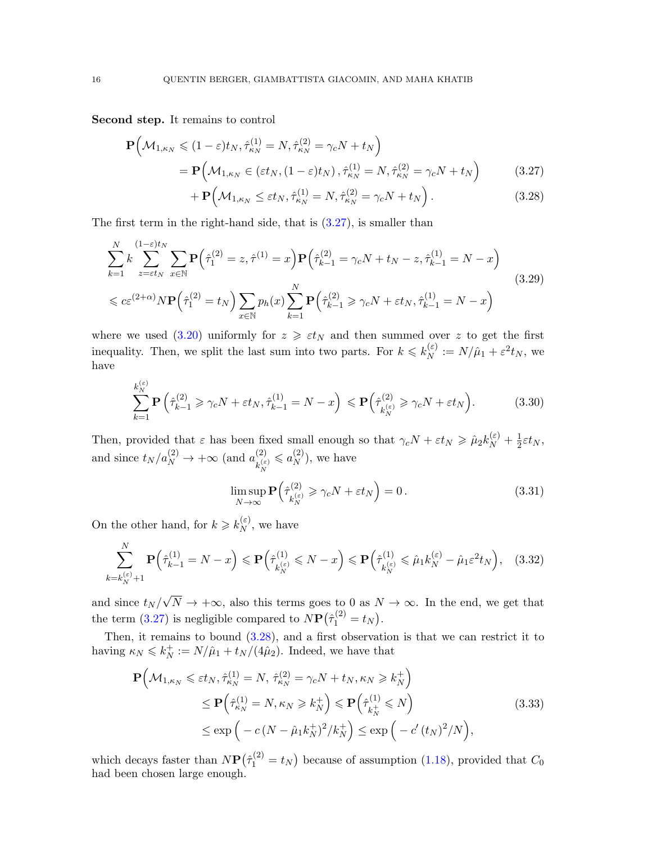Second step. It remains to control

$$
\mathbf{P}\Big(\mathcal{M}_{1,\kappa_N} \leq (1-\varepsilon)t_N, \hat{\tau}_{\kappa_N}^{(1)} = N, \hat{\tau}_{\kappa_N}^{(2)} = \gamma_c N + t_N\Big)
$$
\n
$$
= \mathbf{P}\Big(\mathcal{M}_{1,\kappa_N} \in (\varepsilon t_N, (1-\varepsilon)t_N), \hat{\tau}_{\kappa_N}^{(1)} = N, \hat{\tau}_{\kappa_N}^{(2)} = \gamma_c N + t_N\Big)
$$
\n
$$
+ \mathbf{P}\Big(\mathcal{M}_{1,\kappa_N} \leq \varepsilon t_N, \hat{\tau}_{1}^{(1)} - N, \hat{\tau}_{2}^{(2)} - \gamma N + t_N\Big)
$$
\n(3.27)

<span id="page-15-2"></span><span id="page-15-1"></span>
$$
+ \mathbf{P} \Big( \mathcal{M}_{1,\kappa_N} \le \varepsilon t_N, \hat{\tau}_{\kappa_N}^{(1)} = N, \hat{\tau}_{\kappa_N}^{(2)} = \gamma_c N + t_N \Big) \,. \tag{3.28}
$$

The first term in the right-hand side, that is  $(3.27)$ , is smaller than

$$
\sum_{k=1}^{N} k \sum_{z=\epsilon t_N}^{(1-\epsilon)t_N} \sum_{x \in \mathbb{N}} \mathbf{P}(\hat{\tau}_1^{(2)} = z, \hat{\tau}^{(1)} = x) \mathbf{P}(\hat{\tau}_{k-1}^{(2)} = \gamma_c N + t_N - z, \hat{\tau}_{k-1}^{(1)} = N - x)
$$
\n
$$
\leq c \varepsilon^{(2+\alpha)} N \mathbf{P}(\hat{\tau}_1^{(2)} = t_N) \sum_{x \in \mathbb{N}} p_h(x) \sum_{k=1}^{N} \mathbf{P}(\hat{\tau}_{k-1}^{(2)} \geq \gamma_c N + \varepsilon t_N, \hat{\tau}_{k-1}^{(1)} = N - x)
$$
\n(3.29)

where we used [\(3.20\)](#page-14-1) uniformly for  $z \geq \varepsilon t_N$  and then summed over z to get the first inequality. Then, we split the last sum into two parts. For  $k \leq k_N^{(\varepsilon)}$  $N^{(\varepsilon)} \, := N/\hat{\mu}_1 + \varepsilon^2 t_N,$  we have

$$
\sum_{k=1}^{k_N^{(\varepsilon)}} \mathbf{P}\left(\hat{\tau}_{k-1}^{(2)} \geq \gamma_c N + \varepsilon t_N, \hat{\tau}_{k-1}^{(1)} = N - x\right) \leqslant \mathbf{P}\left(\hat{\tau}_{k_N^{(\varepsilon)}}^{(2)} \geqslant \gamma_c N + \varepsilon t_N\right). \tag{3.30}
$$

Then, provided that  $\varepsilon$  has been fixed small enough so that  $\gamma_c N + \varepsilon t_N \geq \hat{\mu}_2 k_N^{(\varepsilon)} + \frac{1}{2}$  $rac{1}{2}\varepsilon t_N,$ and since  $t_N/a_N^{(2)} \to +\infty$  (and  $a_{k_{\xi}}^{(2)}$ )  $k_N^{(\varepsilon)}$  $\leqslant a_N^{(2)}$  $\binom{2}{N}$ , we have

$$
\limsup_{N \to \infty} \mathbf{P}\left(\hat{\tau}_{k_N^{(\varepsilon)}}^{(2)} \geq \gamma_c N + \varepsilon t_N\right) = 0. \tag{3.31}
$$

On the other hand, for  $k \geq k_N^{(\varepsilon)}$  $N^{(\varepsilon)}$ , we have

$$
\sum_{k=k_N^{(\varepsilon)}+1}^N \mathbf{P}\Big(\hat{\tau}_{k-1}^{(1)} = N - x\Big) \leqslant \mathbf{P}\Big(\hat{\tau}_{k_N^{(\varepsilon)}}^{(1)} \leqslant N - x\Big) \leqslant \mathbf{P}\Big(\hat{\tau}_{k_N^{(\varepsilon)}}^{(1)} \leqslant \hat{\mu}_1 k_N^{(\varepsilon)} - \hat{\mu}_1 \varepsilon^2 t_N\Big),\tag{3.32}
$$

and since  $t_N/\sqrt{N} \to +\infty$ , also this terms goes to 0 as  $N \to \infty$ . In the end, we get that the term [\(3.27\)](#page-15-1) is negligible compared to  $N\mathbf{P}(\hat{\tau}_1^{(2)} = t_N)$ .

Then, it remains to bound [\(3.28\)](#page-15-2), and a first observation is that we can restrict it to having  $\kappa_N \leqslant k_N^+$  $N^+_{N} := N/\hat{\mu}_1 + t_N/(4\hat{\mu}_2)$ . Indeed, we have that

<span id="page-15-0"></span>
$$
\mathbf{P}\Big(\mathcal{M}_{1,\kappa_N} \leq \varepsilon t_N, \hat{\tau}_{\kappa_N}^{(1)} = N, \, \hat{\tau}_{\kappa_N}^{(2)} = \gamma_c N + t_N, \kappa_N \geq k_N^+\Big) \leq \mathbf{P}\Big(\hat{\tau}_{\kappa_N}^{(1)} = N, \kappa_N \geq k_N^+\Big) \leq \mathbf{P}\Big(\hat{\tau}_{k_N^+}^{(1)} \leq N\Big) \leq \exp\Big(-c\left(N - \hat{\mu}_1 k_N^+\right)^2 / k_N^+\Big) \leq \exp\Big(-c'\left(t_N\right)^2 / N\Big),
$$
\n(3.33)

which decays faster than  $N\mathbf{P}(\hat{\tau}_1^{(2)} = t_N)$  because of assumption [\(1.18\)](#page-6-0), provided that  $C_0$ had been chosen large enough.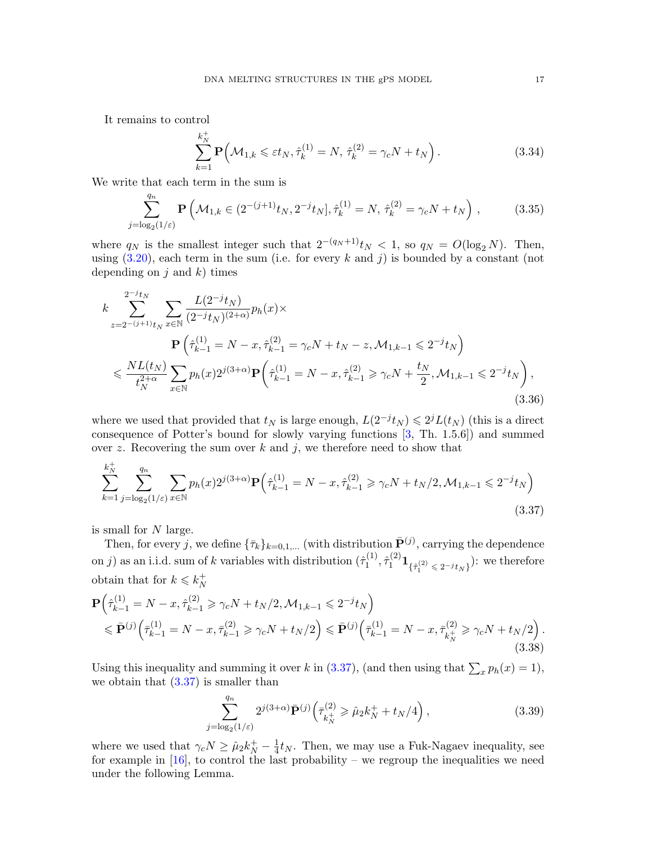It remains to control

$$
\sum_{k=1}^{k_N^+} \mathbf{P}\Big(\mathcal{M}_{1,k} \leqslant \varepsilon t_N, \hat{\tau}_k^{(1)} = N, \hat{\tau}_k^{(2)} = \gamma_c N + t_N\Big).
$$
 (3.34)

We write that each term in the sum is

$$
\sum_{j=\log_2(1/\varepsilon)}^{q_n} \mathbf{P}\left(\mathcal{M}_{1,k} \in (2^{-(j+1)}t_N, 2^{-j}t_N], \hat{\tau}_k^{(1)} = N, \hat{\tau}_k^{(2)} = \gamma_c N + t_N\right),\tag{3.35}
$$

where  $q_N$  is the smallest integer such that  $2^{-(q_N+1)}t_N < 1$ , so  $q_N = O(\log_2 N)$ . Then, using  $(3.20)$ , each term in the sum (i.e. for every k and j) is bounded by a constant (not depending on  $j$  and  $k$ ) times

$$
k \sum_{z=2^{-(j+1)}t_N}^{2^{-j}t_N} \sum_{x \in \mathbb{N}} \frac{L(2^{-j}t_N)}{(2^{-j}t_N)^{(2+\alpha)}} p_h(x) \times
$$
  
\n
$$
\mathbf{P}\left(\hat{\tau}_{k-1}^{(1)} = N - x, \hat{\tau}_{k-1}^{(2)} = \gamma_c N + t_N - z, \mathcal{M}_{1,k-1} \leq 2^{-j}t_N\right)
$$
  
\n
$$
\leq \frac{NL(t_N)}{t_N^{2+\alpha}} \sum_{x \in \mathbb{N}} p_h(x) 2^{j(3+\alpha)} \mathbf{P}\left(\hat{\tau}_{k-1}^{(1)} = N - x, \hat{\tau}_{k-1}^{(2)} \geq \gamma_c N + \frac{t_N}{2}, \mathcal{M}_{1,k-1} \leq 2^{-j}t_N\right),
$$
\n(3.36)

where we used that provided that  $t_N$  is large enough,  $L(2^{-j}t_N) \leq 2^{j}L(t_N)$  (this is a direct consequence of Potter's bound for slowly varying functions [\[3,](#page-28-11) Th. 1.5.6]) and summed over z. Recovering the sum over  $k$  and  $j$ , we therefore need to show that

$$
\sum_{k=1}^{k_N^+} \sum_{j=\log_2(1/\varepsilon)}^{q_n} \sum_{x \in \mathbb{N}} p_h(x) 2^{j(3+\alpha)} \mathbf{P} \Big( \hat{\tau}_{k-1}^{(1)} = N - x, \hat{\tau}_{k-1}^{(2)} \ge \gamma_c N + t_N/2, \mathcal{M}_{1,k-1} \le 2^{-j} t_N \Big)
$$
\n(3.37)

is small for N large.

Then, for every j, we define  ${\{\bar{\tau}_k\}}_{k=0,1,...}$  (with distribution  $\bar{\mathbf{P}}^{(j)}$ , carrying the dependence on j) as an i.i.d. sum of k variables with distribution  $(\hat{\tau}_1^{(1)})$  $\{\hat{\tau}_1^{(1)}, \hat{\tau}_1^{(2)}\mathbf{1}_{\{\hat{\tau}_1^{(2)} \leq 2^{-j} t_N\}}\}$ : we therefore obtain that for  $k \leq k_N^+$ N

$$
\mathbf{P}\left(\hat{\tau}_{k-1}^{(1)} = N - x, \hat{\tau}_{k-1}^{(2)} \ge \gamma_c N + t_N/2, \mathcal{M}_{1,k-1} \le 2^{-j} t_N\right) \n\le \mathbf{P}^{(j)}\left(\bar{\tau}_{k-1}^{(1)} = N - x, \bar{\tau}_{k-1}^{(2)} \ge \gamma_c N + t_N/2\right) \le \mathbf{P}^{(j)}\left(\bar{\tau}_{k-1}^{(1)} = N - x, \bar{\tau}_{k}^{(2)} \ge \gamma_c N + t_N/2\right).
$$
\n(3.38)

Using this inequality and summing it over k in [\(3.37\)](#page-16-0), (and then using that  $\sum_x p_h(x) = 1$ ), we obtain that  $(3.37)$  is smaller than

<span id="page-16-1"></span><span id="page-16-0"></span>
$$
\sum_{j=\log_2(1/\varepsilon)}^{q_n} 2^{j(3+\alpha)} \bar{\mathbf{P}}^{(j)} \left( \bar{\tau}_{k_N^+}^{(2)} \ge \hat{\mu}_2 k_N^+ + t_N/4 \right), \tag{3.39}
$$

where we used that  $\gamma_c N \ge \hat{\mu}_2 k_N^+ - \frac{1}{4}$  $\frac{1}{4}t_N$ . Then, we may use a Fuk-Nagaev inequality, see for example in  $[16]$ , to control the last probability – we regroup the inequalities we need under the following Lemma.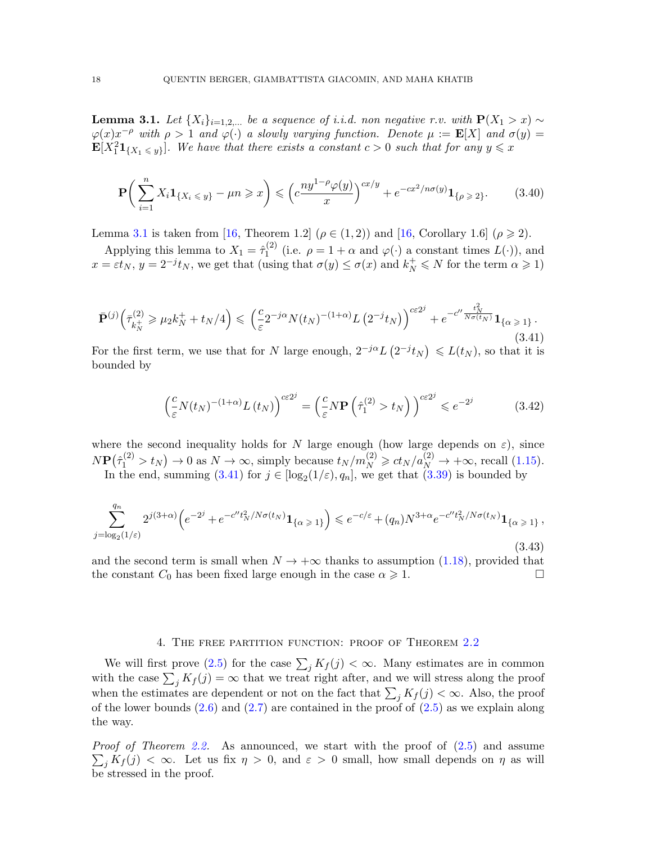<span id="page-17-2"></span>**Lemma 3.1.** Let  $\{X_i\}_{i=1,2,...}$  be a sequence of i.i.d. non negative r.v. with  $P(X_1 > x) \sim$  $\varphi(x)x^{-\rho}$  with  $\rho > 1$  and  $\varphi(\cdot)$  a slowly varying function. Denote  $\mu := \mathbf{E}[X]$  and  $\sigma(y) =$  $\mathbf{E}[X_1^2 \mathbf{1}_{\{X_1 \le y\}}]$ . We have that there exists a constant  $c > 0$  such that for any  $y \le x$ 

$$
\mathbf{P}\bigg(\sum_{i=1}^{n} X_i \mathbf{1}_{\{X_i \le y\}} - \mu n \ge x\bigg) \le \left(c \frac{ny^{1-\rho} \varphi(y)}{x}\right)^{cx/y} + e^{-cx^2/n\sigma(y)} \mathbf{1}_{\{\rho \ge 2\}}.\tag{3.40}
$$

Lemma [3.1](#page-17-2) is taken from [\[16,](#page-28-17) Theorem 1.2] ( $\rho \in (1,2)$ ) and [16, Corollary 1.6] ( $\rho \ge 2$ ).

Applying this lemma to  $X_1 = \hat{\tau}_1^{(2)}$  $\mathcal{L}^{(2)}$  (i.e.  $\rho = 1 + \alpha$  and  $\varphi(\cdot)$  a constant times  $L(\cdot)$ ), and  $x = \varepsilon t_N$ ,  $y = 2^{-j}t_N$ , we get that (using that  $\sigma(y) \le \sigma(x)$  and  $k_N^+ \le N$  for the term  $\alpha \ge 1$ )

<span id="page-17-3"></span>
$$
\bar{\mathbf{P}}^{(j)}\Big(\bar{\tau}_{k_N^+}^{(2)} \ge \mu_2 k_N^+ + t_N/4\Big) \le \left(\frac{c}{\varepsilon} 2^{-j\alpha} N(t_N)^{-(1+\alpha)} L\left(2^{-j} t_N\right)\right)^{c \varepsilon 2^j} + e^{-c'' \frac{t_N^2}{N\sigma(t_N)}} \mathbf{1}_{\{\alpha \ge 1\}}.
$$
\n(3.41)

For the first term, we use that for N large enough,  $2^{-j\alpha}L(2^{-j}t_N) \leq L(t_N)$ , so that it is bounded by

$$
\left(\frac{c}{\varepsilon}N(t_N)^{-(1+\alpha)}L(t_N)\right)^{c\varepsilon 2^j} = \left(\frac{c}{\varepsilon}N\mathbf{P}\left(\hat{\tau}_1^{(2)} > t_N\right)\right)^{c\varepsilon 2^j} \leqslant e^{-2^j} \tag{3.42}
$$

where the second inequality holds for N large enough (how large depends on  $\varepsilon$ ), since  $N\mathbf{P}(\hat{\tau}_1^{(2)} > t_N) \to 0$  as  $N \to \infty$ , simply because  $t_N/m_N^{(2)} \ge ct_N/a_N^{(2)} \to +\infty$ , recall [\(1.15\)](#page-5-2).

In the end, summing  $(3.41)$  for  $j \in [\log_2(1/\varepsilon), q_n]$ , we get that  $(3.39)$  is bounded by

<span id="page-17-0"></span>
$$
\sum_{j=\log_2(1/\varepsilon)}^{q_n} 2^{j(3+\alpha)} \left( e^{-2^j} + e^{-c''t_N^2/N\sigma(t_N)} \mathbf{1}_{\{\alpha \ge 1\}} \right) \leqslant e^{-c/\varepsilon} + (q_n) N^{3+\alpha} e^{-c''t_N^2/N\sigma(t_N)} \mathbf{1}_{\{\alpha \ge 1\}},
$$
\n(3.43)

and the second term is small when  $N \to +\infty$  thanks to assumption [\(1.18\)](#page-6-0), provided that the constant  $C_0$  has been fixed large enough in the case  $\alpha \ge 1$ . the constant  $C_0$  has been fixed large enough in the case  $\alpha \geq 1$ .

### 4. THE FREE PARTITION FUNCTION: PROOF OF THEOREM [2.2](#page-9-3)

<span id="page-17-1"></span>We will first prove [\(2.5\)](#page-9-1) for the case  $\sum_j K_j(j) < \infty$ . Many estimates are in common with the case  $\sum_j K_j(j) = \infty$  that we treat right after, and we will stress along the proof when the estimates are dependent or not on the fact that  $\sum_j K_j(j) < \infty$ . Also, the proof of the lower bounds  $(2.6)$  and  $(2.7)$  are contained in the proof of  $(2.5)$  as we explain along the way.

Proof of Theorem [2.2.](#page-9-3) As announced, we start with the proof of  $(2.5)$  and assume  $\sum_j K_j(j) < \infty$ . Let us fix  $\eta > 0$ , and  $\varepsilon > 0$  small, how small depends on  $\eta$  as will be stressed in the proof.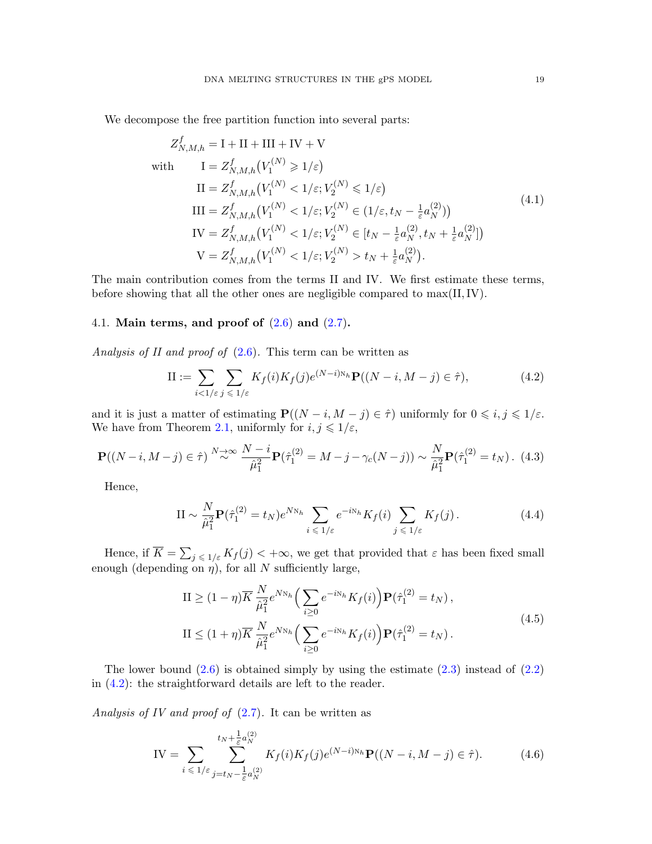<span id="page-18-2"></span>We decompose the free partition function into several parts:

$$
Z_{N,M,h}^{f} = I + II + III + IV + V
$$
  
\nwith 
$$
I = Z_{N,M,h}^{f}(V_{1}^{(N)} \ge 1/\varepsilon)
$$
  
\n
$$
II = Z_{N,M,h}^{f}(V_{1}^{(N)} < 1/\varepsilon; V_{2}^{(N)} \le 1/\varepsilon)
$$
  
\n
$$
III = Z_{N,M,h}^{f}(V_{1}^{(N)} < 1/\varepsilon; V_{2}^{(N)} \in (1/\varepsilon, t_N - \frac{1}{\varepsilon} a_N^{(2)}))
$$
  
\n
$$
IV = Z_{N,M,h}^{f}(V_{1}^{(N)} < 1/\varepsilon; V_{2}^{(N)} \in [t_N - \frac{1}{\varepsilon} a_N^{(2)}, t_N + \frac{1}{\varepsilon} a_N^{(2)}])
$$
  
\n
$$
V = Z_{N,M,h}^{f}(V_{1}^{(N)} < 1/\varepsilon; V_{2}^{(N)} > t_N + \frac{1}{\varepsilon} a_N^{(2)}).
$$
  
\n(4.1)

The main contribution comes from the terms II and IV. We first estimate these terms, before showing that all the other ones are negligible compared to max(II,IV).

## <span id="page-18-0"></span>4.1. Main terms, and proof of  $(2.6)$  and  $(2.7)$ .

Analysis of II and proof of  $(2.6)$ . This term can be written as

<span id="page-18-1"></span>
$$
\text{II} := \sum_{i < 1/\varepsilon} \sum_{j \leqslant 1/\varepsilon} K_f(i) K_f(j) e^{(N-i)N_h} \mathbf{P}((N-i, M-j) \in \hat{\tau}),\tag{4.2}
$$

and it is just a matter of estimating  $P((N-i, M-j) \in \hat{\tau})$  uniformly for  $0 \leq i, j \leq 1/\varepsilon$ . We have from Theorem [2.1,](#page-8-0) uniformly for  $i, j \leq 1/\varepsilon$ ,

$$
\mathbf{P}((N-i, M-j) \in \hat{\tau}) \stackrel{N \to \infty}{\sim} \frac{N-i}{\hat{\mu}_1^2} \mathbf{P}(\hat{\tau}_1^{(2)} = M - j - \gamma_c(N-j)) \sim \frac{N}{\hat{\mu}_1^2} \mathbf{P}(\hat{\tau}_1^{(2)} = t_N). \tag{4.3}
$$

Hence,

<span id="page-18-3"></span>
$$
\mathcal{II} \sim \frac{N}{\hat{\mu}_1^2} \mathbf{P}(\hat{\tau}_1^{(2)} = t_N) e^{N N_h} \sum_{i \leq 1/\varepsilon} e^{-i N_h} K_f(i) \sum_{j \leq 1/\varepsilon} K_f(j). \tag{4.4}
$$

Hence, if  $\overline{K} = \sum_{j \leq \lfloor 1/\varepsilon \rfloor} K_f(j) < +\infty$ , we get that provided that  $\varepsilon$  has been fixed small enough (depending on  $\eta$ ), for all N sufficiently large,

$$
\Pi \ge (1 - \eta) \overline{K} \frac{N}{\hat{\mu}_1^2} e^{N_{N_h}} \Big( \sum_{i \ge 0} e^{-i N_h} K_f(i) \Big) \mathbf{P}(\hat{\tau}_1^{(2)} = t_N),
$$
  
\n
$$
\Pi \le (1 + \eta) \overline{K} \frac{N}{\hat{\mu}_1^2} e^{N_{N_h}} \Big( \sum_{i \ge 0} e^{-i N_h} K_f(i) \Big) \mathbf{P}(\hat{\tau}_1^{(2)} = t_N).
$$
\n(4.5)

The lower bound  $(2.6)$  is obtained simply by using the estimate  $(2.3)$  instead of  $(2.2)$ in [\(4.2\)](#page-18-1): the straightforward details are left to the reader.

Analysis of IV and proof of  $(2.7)$ . It can be written as

IV = 
$$
\sum_{i \leq 1/\varepsilon} \sum_{j=t_N - \frac{1}{\varepsilon} a_N^{(2)}}^{t_N + \frac{1}{\varepsilon} a_N^{(2)}} K_f(i) K_f(j) e^{(N-i)N_h} \mathbf{P}((N-i, M-j) \in \hat{\tau}).
$$
 (4.6)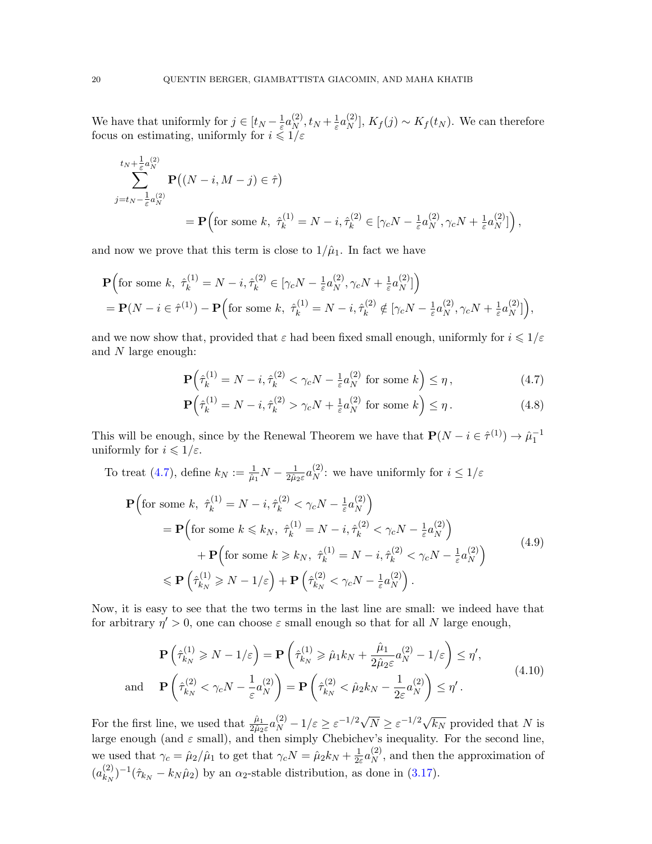We have that uniformly for  $j \in [t_N - \frac{1}{\varepsilon}]$  $\frac{1}{\varepsilon} a_N^{(2)}$  $_N^{(2)}, t_N+\frac{1}{\varepsilon}$  $\frac{1}{\varepsilon} a_N^{(2)}$  $\binom{[2]}{N}, K_f(j) \sim K_f(t_N)$ . We can therefore focus on estimating, uniformly for  $i \leq 1/\varepsilon$ 

$$
\sum_{j=t_N-\frac{1}{\varepsilon}a_N^{(2)}}^{t_N+\frac{1}{\varepsilon}a_N^{(2)}} \mathbf{P} \big( (N-i, M-j) \in \hat{\tau} \big)
$$
\n
$$
= \mathbf{P} \Big( \text{for some } k, \ \hat{\tau}_k^{(1)} = N-i, \hat{\tau}_k^{(2)} \in [\gamma_c N - \frac{1}{\varepsilon}a_N^{(2)}, \gamma_c N + \frac{1}{\varepsilon}a_N^{(2)}] \Big),
$$

and now we prove that this term is close to  $1/\hat{\mu}_1$ . In fact we have

$$
\mathbf{P}\Big(\text{for some }k,\ \hat{\tau}_k^{(1)} = N - i, \hat{\tau}_k^{(2)} \in [\gamma_c N - \frac{1}{\varepsilon} a_N^{(2)}, \gamma_c N + \frac{1}{\varepsilon} a_N^{(2)}]\Big) \n= \mathbf{P}(N - i \in \hat{\tau}^{(1)}) - \mathbf{P}\Big(\text{for some }k,\ \hat{\tau}_k^{(1)} = N - i, \hat{\tau}_k^{(2)} \notin [\gamma_c N - \frac{1}{\varepsilon} a_N^{(2)}, \gamma_c N + \frac{1}{\varepsilon} a_N^{(2)}]\Big),
$$

and we now show that, provided that  $\varepsilon$  had been fixed small enough, uniformly for  $i \leq 1/\varepsilon$ and N large enough:

$$
\mathbf{P}\left(\hat{\tau}_k^{(1)} = N - i, \hat{\tau}_k^{(2)} < \gamma_c N - \frac{1}{\varepsilon} a_N^{(2)} \text{ for some } k\right) \le \eta\,,\tag{4.7}
$$

<span id="page-19-1"></span><span id="page-19-0"></span>
$$
\mathbf{P}\left(\hat{\tau}_k^{(1)} = N - i, \hat{\tau}_k^{(2)} > \gamma_c N + \frac{1}{\varepsilon} a_N^{(2)} \text{ for some } k\right) \le \eta. \tag{4.8}
$$

This will be enough, since by the Renewal Theorem we have that  $P(N - i \in \hat{\tau}^{(1)}) \to \hat{\mu}_1^{-1}$ uniformly for  $i \leqslant 1/\varepsilon$ .

To treat [\(4.7\)](#page-19-0), define  $k_N := \frac{1}{\hat{\mu}_1} N - \frac{1}{2\hat{\mu}_1}$  $\frac{1}{2\hat{\mu}_2\varepsilon}a_N^{(2)}$ <sup>(2)</sup>: we have uniformly for  $i \leq 1/\varepsilon$ 

$$
\mathbf{P}\left(\text{for some } k, \ \hat{\tau}_k^{(1)} = N - i, \hat{\tau}_k^{(2)} < \gamma_c N - \frac{1}{\varepsilon} a_N^{(2)}\right)
$$
\n
$$
= \mathbf{P}\left(\text{for some } k \leq k_N, \ \hat{\tau}_k^{(1)} = N - i, \hat{\tau}_k^{(2)} < \gamma_c N - \frac{1}{\varepsilon} a_N^{(2)}\right)
$$
\n
$$
+ \mathbf{P}\left(\text{for some } k \geq k_N, \ \hat{\tau}_k^{(1)} = N - i, \hat{\tau}_k^{(2)} < \gamma_c N - \frac{1}{\varepsilon} a_N^{(2)}\right)
$$
\n
$$
\leq \mathbf{P}\left(\hat{\tau}_{k_N}^{(1)} \geq N - 1/\varepsilon\right) + \mathbf{P}\left(\hat{\tau}_{k_N}^{(2)} < \gamma_c N - \frac{1}{\varepsilon} a_N^{(2)}\right). \tag{4.9}
$$

Now, it is easy to see that the two terms in the last line are small: we indeed have that for arbitrary  $\eta' > 0$ , one can choose  $\varepsilon$  small enough so that for all N large enough,

<span id="page-19-2"></span>
$$
\mathbf{P}\left(\hat{\tau}_{k_N}^{(1)} \ge N - 1/\varepsilon\right) = \mathbf{P}\left(\hat{\tau}_{k_N}^{(1)} \ge \hat{\mu}_1 k_N + \frac{\hat{\mu}_1}{2\hat{\mu}_2 \varepsilon} a_N^{(2)} - 1/\varepsilon\right) \le \eta',
$$
  
and 
$$
\mathbf{P}\left(\hat{\tau}_{k_N}^{(2)} < \gamma_c N - \frac{1}{\varepsilon} a_N^{(2)}\right) = \mathbf{P}\left(\hat{\tau}_{k_N}^{(2)} < \hat{\mu}_2 k_N - \frac{1}{2\varepsilon} a_N^{(2)}\right) \le \eta'.
$$
 (4.10)

For the first line, we used that  $\frac{\hat{\mu}_1}{2\hat{\mu}_2 \varepsilon} a_N^{(2)} - 1/\varepsilon \geq \varepsilon^{-1/2} \sqrt{N} \geq \varepsilon^{-1/2} \sqrt{k_N}$  provided that N is large enough (and  $\varepsilon$  small), and then simply Chebichev's inequality. For the second line, we used that  $\gamma_c = \hat{\mu}_2 / \hat{\mu}_1$  to get that  $\gamma_c N = \hat{\mu}_2 k_N + \frac{1}{2s}$  $\frac{1}{2\varepsilon} a_N^{(2)}$  $_N^{(2)}$ , and then the approximation of  $(a_{k_{\rm M}}^{(2)}$  $(k_N)^{-1}(\hat{\tau}_{k_N} - k_N \hat{\mu}_2)$  by an  $\alpha_2$ -stable distribution, as done in [\(3.17\)](#page-13-2).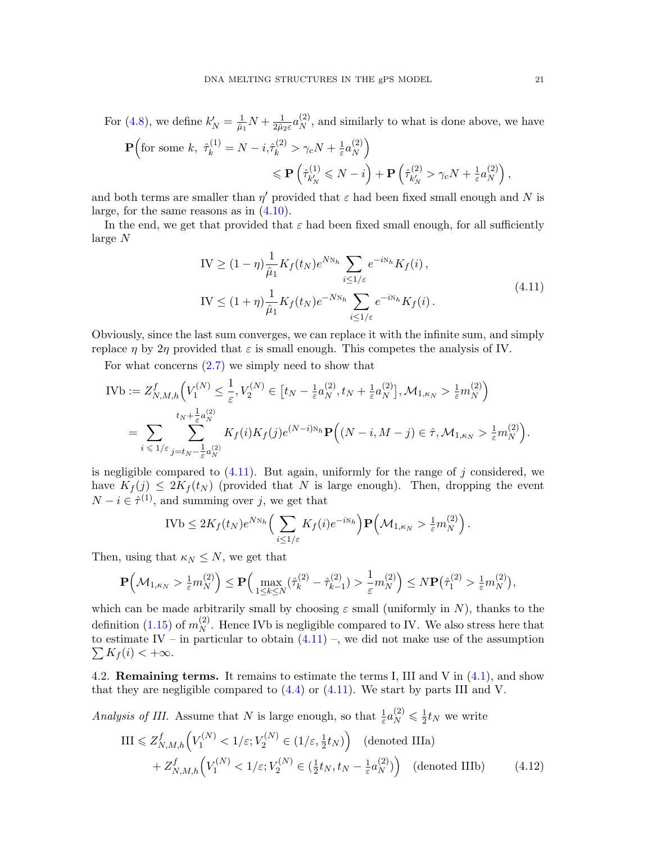For [\(4.8\)](#page-19-1), we define  $k'_{N} = \frac{1}{\hat{\mu}_{1}}$  $\frac{1}{\hat{\mu}_1}N+\frac{1}{2\hat{\mu}_2}$  $\frac{1}{2\hat{\mu}_2\varepsilon}a_N^{(2)}$  $_{N}^{(2)}$ , and similarly to what is done above, we have  $\mathbf{P} \Big( \text{for some } k, \ \hat{\tau}_k^{(1)} = N - i, \hat{\tau}_k^{(2)} > \gamma_c N + \frac{1}{\varepsilon}$  $\frac{1}{\varepsilon} a_N^{(2)}$  $\binom{2}{N}$ 

$$
\leqslant \mathbf{P}\left(\hat{\tau}_{k'_N}^{(1)}\leqslant N-i\right)+\mathbf{P}\left(\hat{\tau}_{k'_N}^{(2)}>\gamma_cN+\tfrac{1}{\varepsilon}a_N^{(2)}\right),
$$

and both terms are smaller than  $\eta'$  provided that  $\varepsilon$  had been fixed small enough and N is large, for the same reasons as in [\(4.10\)](#page-19-2).

In the end, we get that provided that  $\varepsilon$  had been fixed small enough, for all sufficiently large N

$$
IV \ge (1 - \eta) \frac{1}{\hat{\mu}_1} K_f(t_N) e^{N N_h} \sum_{i \le 1/\varepsilon} e^{-i N_h} K_f(i),
$$
  
\n
$$
IV \le (1 + \eta) \frac{1}{\hat{\mu}_1} K_f(t_N) e^{-N N_h} \sum_{i \le 1/\varepsilon} e^{-i N_h} K_f(i).
$$
\n(4.11)

<span id="page-20-1"></span>Obviously, since the last sum converges, we can replace it with the infinite sum, and simply replace  $\eta$  by  $2\eta$  provided that  $\varepsilon$  is small enough. This competes the analysis of IV.

For what concerns  $(2.7)$  we simply need to show that

$$
\begin{split} \text{IVb} &:= Z_{N,M,h}^f\Big(V_1^{(N)} \le \frac{1}{\varepsilon}, V_2^{(N)} \in \big[t_N - \frac{1}{\varepsilon} a_N^{(2)}, t_N + \frac{1}{\varepsilon} a_N^{(2)}\big], \mathcal{M}_{1,\kappa_N} > \frac{1}{\varepsilon} m_N^{(2)}\Big) \\ &= \sum_{i \le 1/\varepsilon} \sum_{j=t_N - \frac{1}{\varepsilon} a_N^{(2)}}^{\varepsilon_{j,N}} K_f(i) K_f(j) e^{(N-i)N_h} \mathbf{P}\Big((N-i, M-j) \in \hat{\tau}, \mathcal{M}_{1,\kappa_N} > \frac{1}{\varepsilon} m_N^{(2)}\Big). \end{split}
$$

is negligible compared to  $(4.11)$ . But again, uniformly for the range of j considered, we have  $K_f(j) \leq 2K_f(t_N)$  (provided that N is large enough). Then, dropping the event  $N - i \in \hat{\tau}^{(1)}$ , and summing over j, we get that

$$
IVb \leq 2K_f(t_N)e^{N_{N_h}} \Big(\sum_{i \leq 1/\varepsilon} K_f(i)e^{-i_{N_h}}\Big) \mathbf{P}\Big(\mathcal{M}_{1,\kappa_N} > \frac{1}{\varepsilon}m_N^{(2)}\Big).
$$

Then, using that  $\kappa_N \leq N$ , we get that

$$
\mathbf{P}\left(\mathcal{M}_{1,\kappa_N} > \frac{1}{\varepsilon}m_N^{(2)}\right) \leq \mathbf{P}\left(\max_{1 \leq k \leq N} (\hat{\tau}_k^{(2)} - \hat{\tau}_{k-1}^{(2)}) > \frac{1}{\varepsilon}m_N^{(2)}\right) \leq N \mathbf{P}\left(\hat{\tau}_1^{(2)} > \frac{1}{\varepsilon}m_N^{(2)}\right),
$$

which can be made arbitrarily small by choosing  $\varepsilon$  small (uniformly in N), thanks to the definition [\(1.15\)](#page-5-2) of  $m_N^{(2)}$  $_N^{(2)}$ . Hence IVb is negligible compared to IV. We also stress here that to estimate IV – in particular to obtain  $(4.11)$  $(4.11)$  –, we did not make use of the assumption  $\sum K_f(i) < +\infty$ .

<span id="page-20-0"></span>4.2. Remaining terms. It remains to estimate the terms I, III and V in [\(4.1\)](#page-18-2), and show that they are negligible compared to  $(4.4)$  or  $(4.11)$ . We start by parts III and V.

Analysis of III. Assume that N is large enough, so that  $\frac{1}{\varepsilon} a_N^{(2)} \leqslant \frac{1}{2}$  $\frac{1}{2}$ t<sub>N</sub> we write

$$
\text{III} \leq Z_{N,M,h}^f\Big(V_1^{(N)} < 1/\varepsilon; V_2^{(N)} \in (1/\varepsilon, \frac{1}{2}t_N)\Big) \quad \text{(denoted IIIa)}+ Z_{N,M,h}^f\Big(V_1^{(N)} < 1/\varepsilon; V_2^{(N)} \in (\frac{1}{2}t_N, t_N - \frac{1}{\varepsilon}a_N^{(2)})\Big) \quad \text{(denoted IIIb)}\tag{4.12}
$$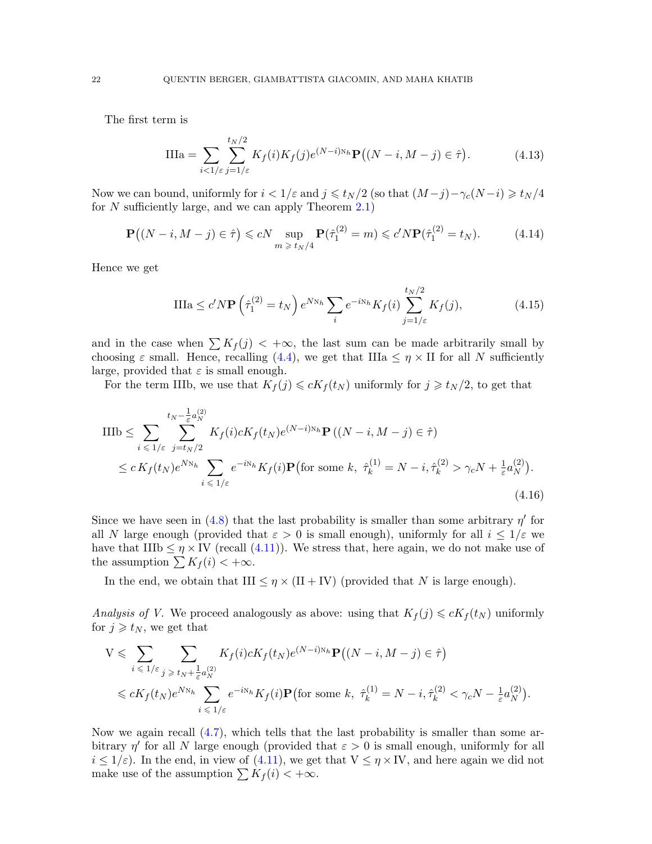The first term is

$$
\text{IIIa} = \sum_{i<1/\varepsilon} \sum_{j=1/\varepsilon}^{t_N/2} K_f(i) K_f(j) e^{(N-i)N_h} \mathbf{P}\big((N-i, M-j) \in \hat{\tau}\big). \tag{4.13}
$$

Now we can bound, uniformly for  $i < 1/\varepsilon$  and  $j \leq t_N/2$  (so that  $(M-j)-\gamma_c(N-i) \geq t_N/4$ for  $N$  sufficiently large, and we can apply Theorem [2.1\)](#page-8-0)

<span id="page-21-0"></span>
$$
\mathbf{P}\big((N-i, M-j) \in \hat{\tau}\big) \leqslant cN \sup_{m \geqslant t_N/4} \mathbf{P}(\hat{\tau}_1^{(2)} = m) \leqslant c' N \mathbf{P}(\hat{\tau}_1^{(2)} = t_N). \tag{4.14}
$$

Hence we get

<span id="page-21-1"></span>
$$
\text{IIIa} \le c' N \mathbf{P} \left(\hat{\tau}_1^{(2)} = t_N\right) e^{N N_h} \sum_i e^{-i N_h} K_f(i) \sum_{j=1/\varepsilon}^{t_N/2} K_f(j),\tag{4.15}
$$

and in the case when  $\sum K_f(j) < +\infty$ , the last sum can be made arbitrarily small by choosing  $\varepsilon$  small. Hence, recalling [\(4.4\)](#page-18-3), we get that IIIa  $\leq \eta \times$  II for all N sufficiently large, provided that  $\varepsilon$  is small enough.

For the term IIIb, we use that  $K_f(j) \leq cK_f(t_N)$  uniformly for  $j \geq t_N/2$ , to get that

$$
\begin{split} \text{IIIb} &\leq \sum_{i \leq 1/\varepsilon} \sum_{j=t_N/2}^{t_N - \frac{1}{\varepsilon} a_N^{(2)}} K_f(i) c K_f(t_N) e^{(N-i)N_h} \mathbf{P}\left((N-i, M-j) \in \hat{\tau}\right) \\ &\leq c \, K_f(t_N) e^{N N_h} \sum_{i \leq 1/\varepsilon} e^{-i N_h} K_f(i) \mathbf{P}\left(\text{for some } k, \ \hat{\tau}_k^{(1)} = N-i, \hat{\tau}_k^{(2)} > \gamma_c N + \frac{1}{\varepsilon} a_N^{(2)}\right). \end{split} \tag{4.16}
$$

Since we have seen in [\(4.8\)](#page-19-1) that the last probability is smaller than some arbitrary  $\eta'$  for all N large enough (provided that  $\varepsilon > 0$  is small enough), uniformly for all  $i \leq 1/\varepsilon$  we have that IIIb  $\leq \eta \times$  IV (recall [\(4.11\)](#page-20-1)). We stress that, here again, we do not make use of the assumption  $\sum K_f (i) < +\infty$ .

In the end, we obtain that III  $\leq \eta \times (II + IV)$  (provided that N is large enough).

Analysis of V. We proceed analogously as above: using that  $K_f(j) \leq cK_f(t_N)$  uniformly for  $j \geq t_N$ , we get that

<span id="page-21-2"></span>
$$
V \leqslant \sum_{i \leqslant 1/\varepsilon} \sum_{j \geqslant t_N + \frac{1}{\varepsilon} a_N^{(2)}} K_f(i) c K_f(t_N) e^{(N-i)N_h} \mathbf{P} \left( (N-i, M-j) \in \hat{\tau} \right)
$$
  

$$
\leqslant c K_f(t_N) e^{N N_h} \sum_{i \leqslant 1/\varepsilon} e^{-i N_h} K_f(i) \mathbf{P} \left( \text{for some } k, \ \hat{\tau}_k^{(1)} = N-i, \hat{\tau}_k^{(2)} < \gamma_c N - \frac{1}{\varepsilon} a_N^{(2)} \right).
$$

Now we again recall [\(4.7\)](#page-19-0), which tells that the last probability is smaller than some arbitrary  $\eta'$  for all N large enough (provided that  $\varepsilon > 0$  is small enough, uniformly for all  $i \leq 1/\varepsilon$ ). In the end, in view of [\(4.11\)](#page-20-1), we get that  $V \leq \eta \times IV$ , and here again we did not make use of the assumption  $\sum K_f (i) < +\infty$ .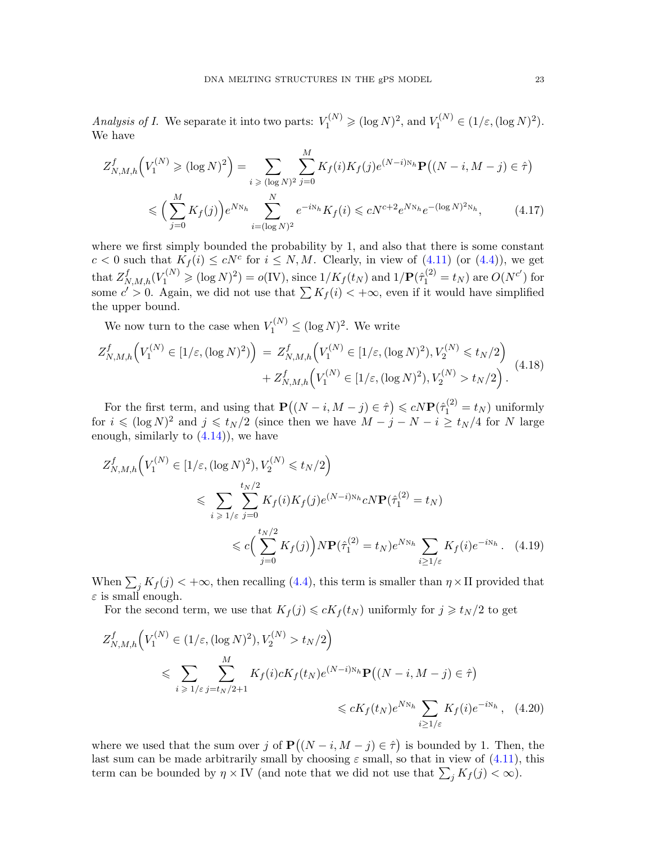Analysis of I. We separate it into two parts:  $V_1^{(N)} \geq (\log N)^2$ , and  $V_1^{(N)} \in (1/\varepsilon, (\log N)^2)$ . We have

$$
Z_{N,M,h}^{f}\Big(V_{1}^{(N)} \geq (log N)^{2}\Big) = \sum_{i \geq (log N)^{2}} \sum_{j=0}^{M} K_{f}(i) K_{f}(j) e^{(N-i)N_{h}} \mathbf{P}((N-i, M-j) \in \hat{\tau})
$$
  

$$
\leq \Big(\sum_{j=0}^{M} K_{f}(j)\Big) e^{N_{N_{h}}} \sum_{i=(log N)^{2}}^{N} e^{-i N_{h}} K_{f}(i) \leq c N^{c+2} e^{N_{N_{h}}} e^{-(log N)^{2}N_{h}}, \qquad (4.17)
$$

where we first simply bounded the probability by 1, and also that there is some constant  $c < 0$  such that  $K_f(i) \le cN^c$  for  $i \le N, M$ . Clearly, in view of  $(4.11)$  (or  $(4.4)$ ), we get  $\text{that } Z_{N,M,h}^f(V_1^{(N)} \geqslant (\log N)^2) = o({\rm IV}), \text{ since } 1/K_f(t_N) \text{ and } 1/\mathbf{P}(\hat{\tau}_1^{(2)} = t_N) \text{ are } O(N^{c'}) \text{ for }$ some  $c' > 0$ . Again, we did not use that  $\sum K_f(i) < +\infty$ , even if it would have simplified the upper bound.

We now turn to the case when  $V_1^{(N)} \leq (\log N)^2$ . We write

$$
Z_{N,M,h}^{f}\Big(V_{1}^{(N)} \in [1/\varepsilon, (\log N)^{2})\Big) = Z_{N,M,h}^{f}\Big(V_{1}^{(N)} \in [1/\varepsilon, (\log N)^{2}), V_{2}^{(N)} \le t_{N}/2\Big) + Z_{N,M,h}^{f}\Big(V_{1}^{(N)} \in [1/\varepsilon, (\log N)^{2}), V_{2}^{(N)} > t_{N}/2\Big).
$$
\n(4.18)

For the first term, and using that  $\mathbf{P}((N-i, M-j) \in \hat{\tau}) \leq cN \mathbf{P}(\hat{\tau}_1^{(2)} = t_N)$  uniformly for  $i \leqslant (\log N)^2$  and  $j \leqslant t_N/2$  (since then we have  $M - j - N - i \geq t_N/4$  for N large enough, similarly to  $(4.14)$ , we have

$$
Z_{N,M,h}^{f}\Big(V_{1}^{(N)} \in [1/\varepsilon, (\log N)^{2}), V_{2}^{(N)} \leq t_{N}/2\Big)
$$
  

$$
\leq \sum_{i \geq 1/\varepsilon} \sum_{j=0}^{t_{N}/2} K_{f}(i) K_{f}(j) e^{(N-i)N_{h}} c_{N} \mathbf{P}(\hat{\tau}_{1}^{(2)} = t_{N})
$$
  

$$
\leq c \Big(\sum_{j=0}^{t_{N}/2} K_{f}(j)\Big) N \mathbf{P}(\hat{\tau}_{1}^{(2)} = t_{N}) e^{N_{N_{h}}} \sum_{i \geq 1/\varepsilon} K_{f}(i) e^{-i N_{h}}. \quad (4.19)
$$

When  $\sum_j K_j(j) < +\infty$ , then recalling [\(4.4\)](#page-18-3), this term is smaller than  $\eta \times \Pi$  provided that  $\varepsilon$  is small enough.

<span id="page-22-0"></span>For the second term, we use that  $K_f(j) \leq cK_f(t_N)$  uniformly for  $j \geq t_N/2$  to get

<span id="page-22-1"></span>
$$
Z_{N,M,h}^{f}\Big(V_{1}^{(N)} \in (1/\varepsilon, (\log N)^{2}), V_{2}^{(N)} > t_{N}/2\Big)
$$
  
\$\leqslant \sum\_{i \geqslant 1/\varepsilon} \sum\_{j=t\_{N}/2+1}^{M} K\_{f}(i)cK\_{f}(t\_{N})e^{(N-i)N\_{h}} \mathbf{P}((N-i, M-j) \in \hat{\tau})\$  
\$\leqslant cK\_{f}(t\_{N})e^{N\_{N\_{h}}} \sum\_{i \geqslant 1/\varepsilon} K\_{f}(i)e^{-iN\_{h}}, (4.20)\$

where we used that the sum over j of  $\mathbf{P}((N-i, M-j) \in \hat{\tau})$  is bounded by 1. Then, the last sum can be made arbitrarily small by choosing  $\varepsilon$  small, so that in view of  $(4.11)$ , this term can be bounded by  $\eta \times \text{IV}$  (and note that we did not use that  $\sum_j K_j(j) < \infty$ ).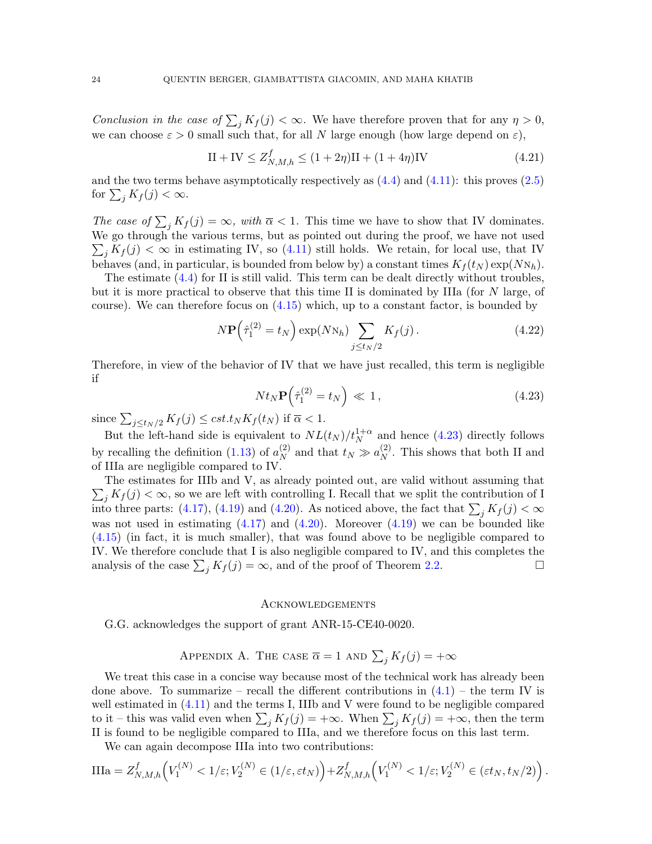Conclusion in the case of  $\sum_j K_j(j) < \infty$ . We have therefore proven that for any  $\eta > 0$ , we can choose  $\varepsilon > 0$  small such that, for all N large enough (how large depend on  $\varepsilon$ ),

$$
II + IV \le Z_{N,M,h}^f \le (1 + 2\eta)II + (1 + 4\eta)IV
$$
\n(4.21)

and the two terms behave asymptotically respectively as  $(4.4)$  and  $(4.11)$ : this proves  $(2.5)$ for  $\sum_j K_f(j) < \infty$ .

The case of  $\sum_j K_j(j) = \infty$ , with  $\overline{\alpha} < 1$ . This time we have to show that IV dominates. We go through the various terms, but as pointed out during the proof, we have not used  $\sum_j K_j(j) < \infty$  in estimating IV, so [\(4.11\)](#page-20-1) still holds. We retain, for local use, that IV behaves (and, in particular, is bounded from below by) a constant times  $K_f(t_N) \exp(NN_h)$ .

The estimate [\(4.4\)](#page-18-3) for II is still valid. This term can be dealt directly without troubles, but it is more practical to observe that this time II is dominated by IIIa (for N large, of course). We can therefore focus on [\(4.15\)](#page-21-1) which, up to a constant factor, is bounded by

$$
N\mathbf{P}\left(\hat{\tau}_1^{(2)} = t_N\right) \exp(N\mathbf{N}_h) \sum_{j \le t_N/2} K_f(j). \tag{4.22}
$$

Therefore, in view of the behavior of IV that we have just recalled, this term is negligible if

<span id="page-23-1"></span>
$$
Nt_N \mathbf{P}\left(\hat{\tau}_1^{(2)} = t_N\right) \ll 1, \tag{4.23}
$$

since  $\sum_{j \le t_N/2} K_f(j) \le cst_t t_N K_f(t_N)$  if  $\overline{\alpha} < 1$ .

But the left-hand side is equivalent to  $NL(t_N)/t_N^{1+\alpha}$  and hence [\(4.23\)](#page-23-1) directly follows by recalling the definition [\(1.13\)](#page-5-0) of  $a_N^{(2)}$  $\binom{2}{N}$  and that  $t_N \gg a_N^{(2)}$  $_N^{(2)}$ . This shows that both II and of IIIa are negligible compared to IV.

 $\sum_j K_j(j) < \infty$ , so we are left with controlling I. Recall that we split the contribution of I The estimates for IIIb and V, as already pointed out, are valid without assuming that into three parts: [\(4.17\)](#page-21-2), [\(4.19\)](#page-22-0) and [\(4.20\)](#page-22-1). As noticed above, the fact that  $\sum_j K_j(j) < \infty$ was not used in estimating  $(4.17)$  and  $(4.20)$ . Moreover  $(4.19)$  we can be bounded like [\(4.15\)](#page-21-1) (in fact, it is much smaller), that was found above to be negligible compared to IV. We therefore conclude that I is also negligible compared to IV, and this completes the analysis of the case  $\sum_j K_j(j) = \infty$ , and of the proof of Theorem [2.2.](#page-9-3)

#### **ACKNOWLEDGEMENTS**

G.G. acknowledges the support of grant ANR-15-CE40-0020.

APPENDIX A. THE CASE 
$$
\overline{\alpha} = 1
$$
 and  $\sum_j K_j(j) = +\infty$ 

<span id="page-23-0"></span>We treat this case in a concise way because most of the technical work has already been done above. To summarize – recall the different contributions in  $(4.1)$  – the term IV is well estimated in [\(4.11\)](#page-20-1) and the terms I, IIIb and V were found to be negligible compared to it – this was valid even when  $\sum_j K_j(j) = +\infty$ . When  $\sum_j K_j(j) = +\infty$ , then the term II is found to be negligible compared to IIIa, and we therefore focus on this last term.

We can again decompose IIIa into two contributions:

$$
\text{IIIa} = Z_{N,M,h}^f\Big(V_1^{(N)} < 1/\varepsilon; V_2^{(N)} \in (1/\varepsilon, \varepsilon t_N)\Big) + Z_{N,M,h}^f\Big(V_1^{(N)} < 1/\varepsilon; V_2^{(N)} \in (\varepsilon t_N, t_N/2)\Big) \,.
$$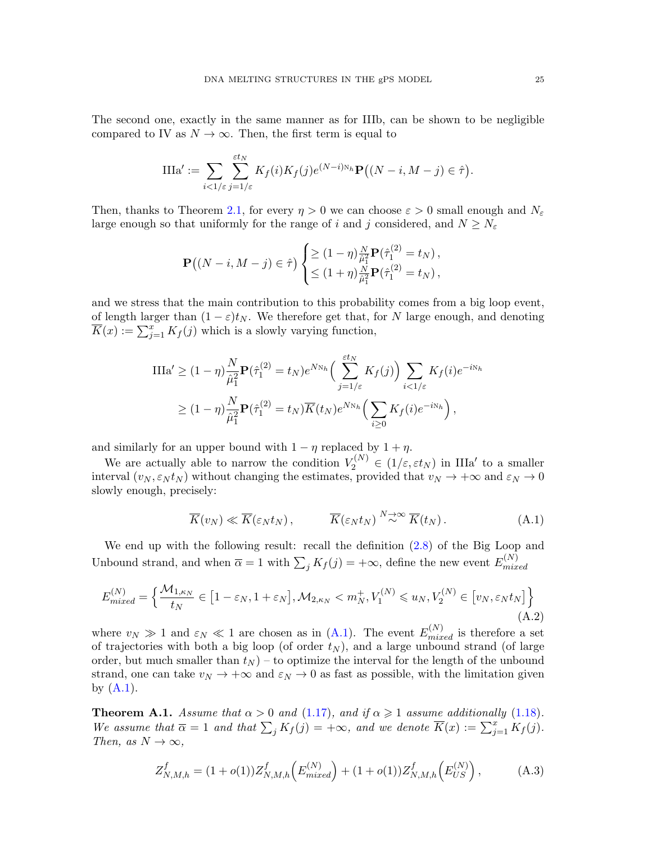The second one, exactly in the same manner as for IIIb, can be shown to be negligible compared to IV as  $N \to \infty$ . Then, the first term is equal to

$$
\text{IIIa}' := \sum_{i \leq 1/\varepsilon} \sum_{j=1/\varepsilon}^{\varepsilon t_N} K_f(i) K_f(j) e^{(N-i)N_h} \mathbf{P} \big( (N-i, M-j) \in \hat{\tau} \big).
$$

Then, thanks to Theorem [2.1,](#page-8-0) for every  $\eta > 0$  we can choose  $\varepsilon > 0$  small enough and  $N_{\varepsilon}$ large enough so that uniformly for the range of i and j considered, and  $N \geq N_{\varepsilon}$ 

$$
\mathbf{P}((N-i, M-j) \in \hat{\tau}) \begin{cases} \geq (1-\eta) \frac{N}{\hat{\mu}_1^2} \mathbf{P}(\hat{\tau}_1^{(2)} = t_N), \\ \leq (1+\eta) \frac{N}{\hat{\mu}_1^2} \mathbf{P}(\hat{\tau}_1^{(2)} = t_N), \end{cases}
$$

and we stress that the main contribution to this probability comes from a big loop event, of length larger than  $(1 - \varepsilon)t_N$ . We therefore get that, for N large enough, and denoting  $\overline{K}(x) := \sum_{j=1}^{x} K_j(j)$  which is a slowly varying function,

$$
\text{IIIa}' \ge (1 - \eta) \frac{N}{\hat{\mu}_1^2} \mathbf{P}(\hat{\tau}_1^{(2)} = t_N) e^{N N_h} \Big( \sum_{j=1/\varepsilon}^{\varepsilon t_N} K_f(j) \Big) \sum_{i < 1/\varepsilon} K_f(i) e^{-i N_h}
$$
\n
$$
\ge (1 - \eta) \frac{N}{\hat{\mu}_1^2} \mathbf{P}(\hat{\tau}_1^{(2)} = t_N) \overline{K}(t_N) e^{N N_h} \Big( \sum_{i \ge 0} K_f(i) e^{-i N_h} \Big),
$$

and similarly for an upper bound with  $1 - \eta$  replaced by  $1 + \eta$ .

We are actually able to narrow the condition  $V_2^{(N)} \in (1/\varepsilon, \varepsilon t_N)$  in IIIa' to a smaller interval  $(v_N, \varepsilon_N t_N)$  without changing the estimates, provided that  $v_N \to +\infty$  and  $\varepsilon_N \to 0$ slowly enough, precisely:

<span id="page-24-1"></span>
$$
\overline{K}(v_N) \ll \overline{K}(\varepsilon_N t_N), \qquad \overline{K}(\varepsilon_N t_N) \stackrel{N \to \infty}{\sim} \overline{K}(t_N). \tag{A.1}
$$

We end up with the following result: recall the definition [\(2.8\)](#page-9-0) of the Big Loop and Unbound strand, and when  $\overline{\alpha} = 1$  with  $\sum_j K_j(j) = +\infty$ , define the new event  $E_{mix}^{(N)}$  $_{mixed}$ 

$$
E_{mixed}^{(N)} = \left\{ \frac{\mathcal{M}_{1,\kappa_N}}{t_N} \in \left[1 - \varepsilon_N, 1 + \varepsilon_N\right], \mathcal{M}_{2,\kappa_N} < m_N^+, V_1^{(N)} \le u_N, V_2^{(N)} \in \left[v_N, \varepsilon_N t_N\right] \right\} \tag{A.2}
$$

where  $v_N \gg 1$  and  $\varepsilon_N \ll 1$  are chosen as in [\(A.1\)](#page-24-1). The event  $E_{mixed}^{(N)}$  is therefore a set of trajectories with both a big loop (of order  $t<sub>N</sub>$ ), and a large unbound strand (of large order, but much smaller than  $t_N$  – to optimize the interval for the length of the unbound strand, one can take  $v_N \to +\infty$  and  $\varepsilon_N \to 0$  as fast as possible, with the limitation given by  $(A.1)$ .

<span id="page-24-0"></span>**Theorem A.1.** Assume that  $\alpha > 0$  and [\(1.17\)](#page-6-1), and if  $\alpha \ge 1$  assume additionally [\(1.18\)](#page-6-0). We assume that  $\overline{\alpha} = 1$  and that  $\sum_j K_j(j) = +\infty$ , and we denote  $\overline{K}(x) := \sum_{j=1}^x K_j(j)$ . Then, as  $N \to \infty$ ,

$$
Z_{N,M,h}^f = (1 + o(1))Z_{N,M,h}^f\left(E_{mixed}^{(N)}\right) + (1 + o(1))Z_{N,M,h}^f\left(E_{US}^{(N)}\right),\tag{A.3}
$$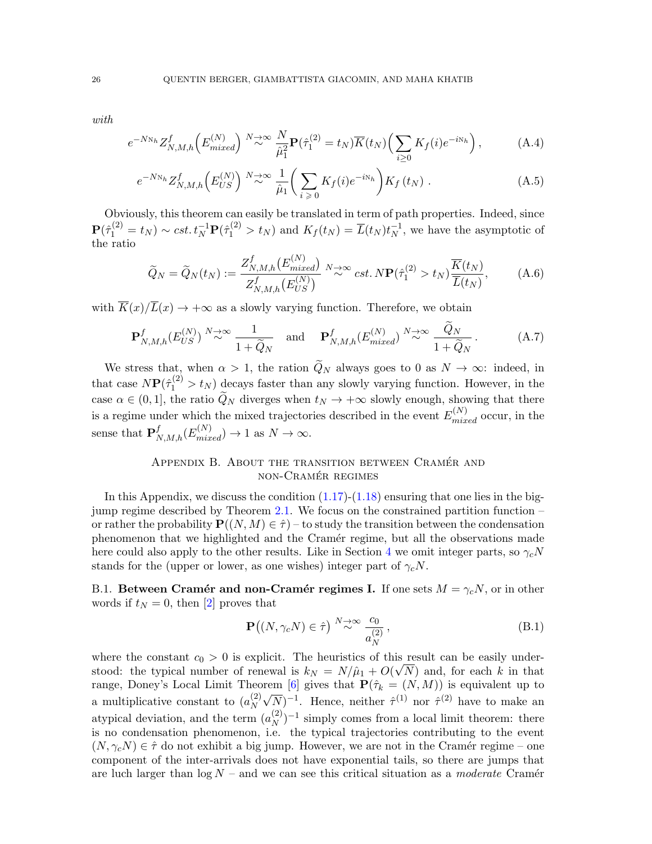with

$$
e^{-N\mathcal{N}_h} Z_{N,M,h}^f\Big(E_{mixed}^{(N)}\Big) \stackrel{N\to\infty}{\sim} \frac{N}{\hat{\mu}_1^2} \mathbf{P}(\hat{\tau}_1^{(2)} = t_N) \overline{K}(t_N) \Big(\sum_{i\geq 0} K_f(i) e^{-i\mathcal{N}_h}\Big),\tag{A.4}
$$

$$
e^{-N\mathcal{N}_h} Z^f_{N,M,h}\left(E_{US}^{(N)}\right) \stackrel{N\to\infty}{\sim} \frac{1}{\hat{\mu}_1} \bigg(\sum_{i\geqslant 0} K_f(i) e^{-i\mathcal{N}_h}\bigg) K_f\left(t_N\right) \,. \tag{A.5}
$$

Obviously, this theorem can easily be translated in term of path properties. Indeed, since  $\mathbf{P}(\hat{\tau}_1^{(2)} = t_N) \sim cst. t_N^{-1} \mathbf{P}(\hat{\tau}_1^{(2)} > t_N)$  and  $K_f(t_N) = \overline{L}(t_N)t_N^{-1}$  $N^1$ , we have the asymptotic of the ratio

<span id="page-25-1"></span>
$$
\widetilde{Q}_N = \widetilde{Q}_N(t_N) := \frac{Z_{N,M,h}^f(E_{mixed}^{(N)})}{Z_{N,M,h}^f(E_{US}^{(N)})} \stackrel{N \to \infty}{\sim} cst. N \mathbf{P}(\hat{\tau}_1^{(2)} > t_N) \frac{\overline{K}(t_N)}{\overline{L}(t_N)},\tag{A.6}
$$

with  $\overline{K}(x)/\overline{L}(x) \rightarrow +\infty$  as a slowly varying function. Therefore, we obtain

<span id="page-25-2"></span>
$$
\mathbf{P}_{N,M,h}^{f}(E_{US}^{(N)}) \stackrel{N \to \infty}{\sim} \frac{1}{1 + \widetilde{Q}_N} \quad \text{and} \quad \mathbf{P}_{N,M,h}^{f}(E_{mixed}^{(N)}) \stackrel{N \to \infty}{\sim} \frac{Q_N}{1 + \widetilde{Q}_N} \,. \tag{A.7}
$$

We stress that, when  $\alpha > 1$ , the ration  $\tilde{Q}_N$  always goes to 0 as  $N \to \infty$ : indeed, in that case  $N\mathbf{P}(\hat{\tau}_1^{(2)} > t_N)$  decays faster than any slowly varying function. However, in the case  $\alpha \in (0, 1]$ , the ratio  $\widetilde{Q}_N$  diverges when  $t_N \to +\infty$  slowly enough, showing that there is a regime under which the mixed trajectories described in the event  $E_{mixed}^{(N)}$  occur, in the sense that  $\mathbf{P}_{N,M,h}^{f}(E_{mixed}^{(N)}) \to 1$  as  $N \to \infty$ .

## APPENDIX B. ABOUT THE TRANSITION BETWEEN CRAMÉR AND non-Cramer regimes ´

<span id="page-25-3"></span>In this Appendix, we discuss the condition  $(1.17)-(1.18)$  $(1.17)-(1.18)$  $(1.17)-(1.18)$  ensuring that one lies in the big-jump regime described by Theorem [2.1.](#page-8-0) We focus on the constrained partition function  $$ or rather the probability  $\mathbf{P}((N, M) \in \hat{\tau})$  – to study the transition between the condensation phenomenon that we highlighted and the Cram´er regime, but all the observations made here could also apply to the other results. Like in Section [4](#page-17-1) we omit integer parts, so  $\gamma_c N$ stands for the (upper or lower, as one wishes) integer part of  $\gamma_c N$ .

<span id="page-25-0"></span>B.1. Between Cramér and non-Cramér regimes I. If one sets  $M = \gamma_c N$ , or in other words if  $t_N = 0$ , then [\[2\]](#page-28-15) proves that

<span id="page-25-4"></span>
$$
\mathbf{P}((N, \gamma_c N) \in \hat{\tau}) \stackrel{N \to \infty}{\sim} \frac{c_0}{a_N^{(2)}},
$$
\n(B.1)

where the constant  $c_0 > 0$  is explicit. The heuristics of this result can be easily understood: the typical number of renewal is  $k_N = N/\hat{\mu}_1 + O(\sqrt{N})$  and, for each k in that range, Doney's Local Limit Theorem [\[6\]](#page-28-14) gives that  $P(\hat{\tau}_k = (N, M))$  is equivalent up to a multiplicative constant to  $(a_N^{(2)})$ N  $(\sqrt{N})^{-1}$ . Hence, neither  $\hat{\tau}^{(1)}$  nor  $\hat{\tau}^{(2)}$  have to make an atypical deviation, and the term  $(a_N^{(2)})$  $\binom{2}{N}$ <sup>-1</sup> simply comes from a local limit theorem: there is no condensation phenomenon, i.e. the typical trajectories contributing to the event  $(N, \gamma_c N) \in \hat{\tau}$  do not exhibit a big jump. However, we are not in the Cramér regime – one component of the inter-arrivals does not have exponential tails, so there are jumps that are luch larger than  $\log N$  – and we can see this critical situation as a moderate Cramér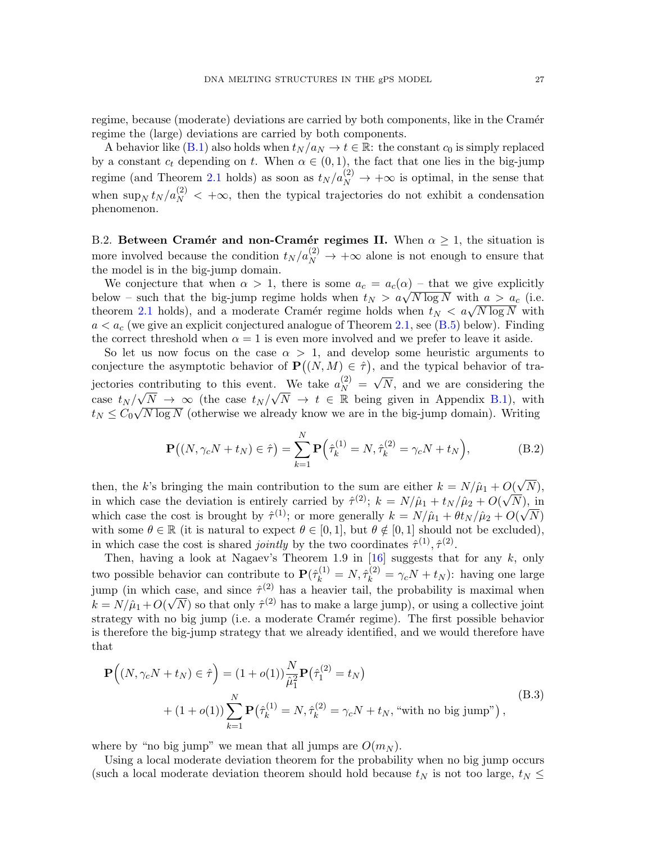regime, because (moderate) deviations are carried by both components, like in the Cramér regime the (large) deviations are carried by both components.

A behavior like [\(B.1\)](#page-25-4) also holds when  $t_N/a_N \to t \in \mathbb{R}$ : the constant  $c_0$  is simply replaced by a constant  $c_t$  depending on t. When  $\alpha \in (0,1)$ , the fact that one lies in the big-jump regime (and Theorem [2.1](#page-8-0) holds) as soon as  $t_N/a_N^{(2)} \to +\infty$  is optimal, in the sense that when  $\sup_N t_N / a_N^{(2)} < +\infty$ , then the typical trajectories do not exhibit a condensation phenomenon.

<span id="page-26-0"></span>B.2. Between Cramér and non-Cramér regimes II. When  $\alpha \geq 1$ , the situation is more involved because the condition  $t_N / a_N^{(2)} \to +\infty$  alone is not enough to ensure that the model is in the big-jump domain.

We conjecture that when  $\alpha > 1$ , there is some  $a_c = a_c(\alpha)$  – that we give explicitly below – such that the big-jump regime holds when  $t_N > a\sqrt{N \log N}$  with  $a > a_c$  (i.e. theorem [2.1](#page-8-0) holds), and a moderate Cramér regime holds when  $t_N < a\sqrt{N \log N}$  with  $a < a_c$  (we give an explicit conjectured analogue of Theorem [2.1,](#page-8-0) see [\(B.5\)](#page-27-0) below). Finding the correct threshold when  $\alpha = 1$  is even more involved and we prefer to leave it aside.

So let us now focus on the case  $\alpha > 1$ , and develop some heuristic arguments to conjecture the asymptotic behavior of  $\mathbf{P}((N, M) \in \hat{\tau})$ , and the typical behavior of trajectories contributing to this event. We take  $a_N^{(2)} = \sqrt{N}$ , and we are considering the case  $t_N/\sqrt{N} \to \infty$  (the case  $t_N/\sqrt{N} \to t \in \mathbb{R}$  being given in Appendix [B.1\)](#page-25-0), with  $t_N \leq C_0 \sqrt{N \log N}$  (otherwise we already know we are in the big-jump domain). Writing

$$
\mathbf{P}((N, \gamma_c N + t_N) \in \hat{\tau}) = \sum_{k=1}^{N} \mathbf{P}(\hat{\tau}_k^{(1)} = N, \hat{\tau}_k^{(2)} = \gamma_c N + t_N),
$$
 (B.2)

then, the k's bringing the main contribution to the sum are either  $k = N/\hat{\mu}_1 + O(\sqrt{N}),$ in which case the deviation is entirely carried by  $\hat{\tau}^{(2)}$ ;  $k = N/\hat{\mu}_1 + t_N/\hat{\mu}_2 + O(\sqrt{N})$ , in which case the cost is brought by  $\hat{\tau}^{(1)}$ ; or more generally  $k = N/\hat{\mu}_1 + \theta t_N/\hat{\mu}_2 + O(\sqrt{N})$ with some  $\theta \in \mathbb{R}$  (it is natural to expect  $\theta \in [0, 1]$ , but  $\theta \notin [0, 1]$  should not be excluded), in which case the cost is shared *jointly* by the two coordinates  $\hat{\tau}^{(1)}, \hat{\tau}^{(2)}$ .

Then, having a look at Nagaev's Theorem 1.9 in  $[16]$  suggests that for any k, only two possible behavior can contribute to  $\mathbf{P}(\hat{\tau}_k^{(1)} = N, \hat{\tau}_k^{(2)} = \gamma_c N + t_N)$ : having one large jump (in which case, and since  $\hat{\tau}^{(2)}$  has a heavier tail, the probability is maximal when  $k = N/\hat{\mu}_1 + O(\sqrt{N})$  so that only  $\hat{\tau}^{(2)}$  has to make a large jump), or using a collective joint strategy with no big jump (i.e. a moderate Cramér regime). The first possible behavior is therefore the big-jump strategy that we already identified, and we would therefore have that

<span id="page-26-1"></span>
$$
\mathbf{P}\Big((N,\gamma_c N+t_N) \in \hat{\tau}\Big) = (1+o(1))\frac{N}{\hat{\mu}_1^2} \mathbf{P}\big(\hat{\tau}_1^{(2)} = t_N\big) + (1+o(1))\sum_{k=1}^N \mathbf{P}\big(\hat{\tau}_k^{(1)} = N, \hat{\tau}_k^{(2)} = \gamma_c N + t_N, \text{ with no big jump''}\big),
$$
\n(B.3)

where by "no big jump" we mean that all jumps are  $O(m_N)$ .

Using a local moderate deviation theorem for the probability when no big jump occurs (such a local moderate deviation theorem should hold because  $t_N$  is not too large,  $t_N \leq$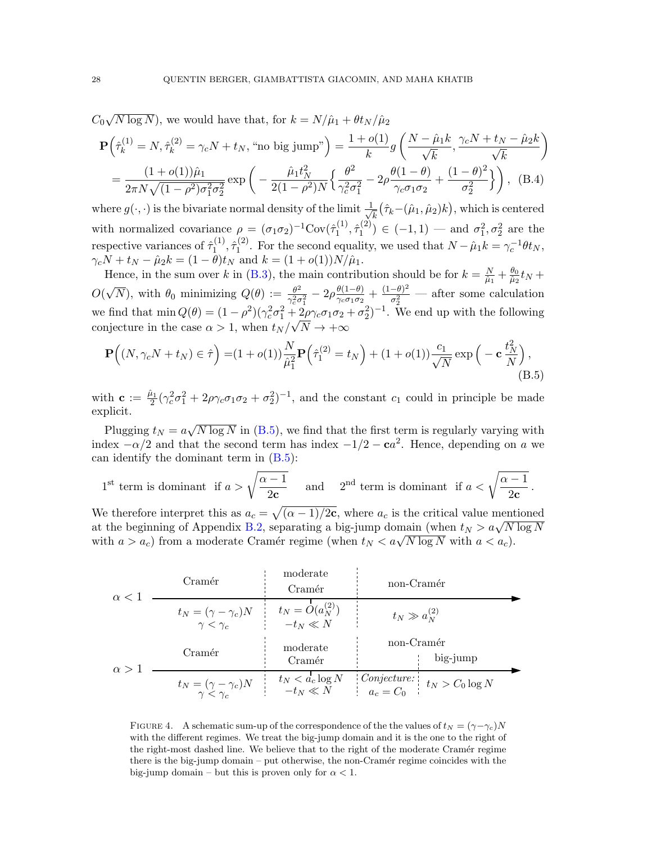<span id="page-27-1"></span>
$$
C_0\sqrt{N\log N}),
$$
 we would have that, for  $k = N/\hat{\mu}_1 + \theta t_N/\hat{\mu}_2$   
\n
$$
\mathbf{P}\left(\hat{\tau}_k^{(1)} = N, \hat{\tau}_k^{(2)} = \gamma_c N + t_N,
$$
 "no big jump" \right) =  $\frac{1 + o(1)}{k}g\left(\frac{N - \hat{\mu}_1 k}{\sqrt{k}}, \frac{\gamma_c N + t_N - \hat{\mu}_2 k}{\sqrt{k}}\right)$   
\n=  $\frac{(1 + o(1))\hat{\mu}_1}{2\pi N\sqrt{(1 - \rho^2)\sigma_1^2\sigma_2^2}} \exp\left(-\frac{\hat{\mu}_1 t_N^2}{2(1 - \rho^2)N}\left\{\frac{\theta^2}{\gamma_c^2\sigma_1^2} - 2\rho\frac{\theta(1 - \theta)}{\gamma_c\sigma_1\sigma_2} + \frac{(1 - \theta)^2}{\sigma_2^2}\right\}\right)$ , (B.4)

where  $g(\cdot, \cdot)$  is the bivariate normal density of the limit  $\frac{1}{\sqrt{2}}$  $\frac{1}{k}(\hat{\tau}_k\!-\!(\hat{\mu}_1,\hat{\mu}_2)k\big),$  which is centered with normalized covariance  $\rho = (\sigma_1 \sigma_2)^{-1} \text{Cov}(\hat{\tau}_1^{(1)})$  $\hat{\tau}_1^{(1)}, \hat{\tau}_1^{(2)}$  $\sigma_1^{(2)}$ ) ∈ (-1, 1) — and  $\sigma_1^2$ ,  $\sigma_2^2$  are the respective variances of  $\hat{\tau}_1^{(1)}$  $\hat{\tau}_1^{(1)}, \hat{\tau}_1^{(2)}$ <sup>(2)</sup>. For the second equality, we used that  $N - \hat{\mu}_1 k = \gamma_c^{-1} \theta t_N$ ,  $\gamma_c N + t_N - \hat{\mu}_2 k = (1 - \theta)t_N$  and  $k = (1 + o(1))N/\hat{\mu}_1$ .

Hence, in the sum over k in [\(B.3\)](#page-26-1), the main contribution should be for  $k = \frac{N}{\hat{u}_1}$  $\frac{N}{\hat{\mu}_1}+\frac{\theta_0}{\hat{\mu}_2}$  $\frac{\theta_0}{\hat{\mu}_2} t_N +$  $O(\sqrt{N})$ , with  $\theta_0$  minimizing  $Q(\theta) := \frac{\theta^2}{\gamma^2 \sigma^2}$  $\frac{\theta^2}{\gamma_c^2 \sigma_1^2} - 2\rho \frac{\theta(1-\theta)}{\gamma_c \sigma_1 \sigma_2}$  $\frac{\theta(1-\theta)}{\gamma_c \sigma_1 \sigma_2} + \frac{(1-\theta)^2}{\sigma_2^2}$  $\frac{(-\sigma)^2}{\sigma_2^2}$  — after some calculation we find that  $\min Q(\theta) = (1 - \rho^2)(\gamma_c^2 \sigma_1^2 + \frac{2\rho\gamma_c \sigma_1 \sigma_2 + \sigma_2^2)^{-1}$ . We end up with the following conjecture in the case  $\alpha > 1$ , when  $t_N / \sqrt{N} \rightarrow +\infty$ 

<span id="page-27-0"></span>
$$
\mathbf{P}\Big((N,\gamma_c N+t_N)\in\hat{\tau}\Big)=(1+o(1))\frac{N}{\hat{\mu}_1^2}\mathbf{P}\Big(\hat{\tau}_1^{(2)}=t_N\Big)+(1+o(1))\frac{c_1}{\sqrt{N}}\exp\Big(-c\frac{t_N^2}{N}\Big),\tag{B.5}
$$

with  $\mathbf{c} := \frac{\hat{\mu}_1}{2}$  $\frac{\partial^2 u}{\partial t^2}$  ( $\gamma_c^2 \sigma_1^2 + 2\rho \gamma_c \sigma_1 \sigma_2 + \sigma_2^2$ )<sup>-1</sup>, and the constant  $c_1$  could in principle be made explicit.

Plugging  $t_N = a\sqrt{N \log N}$  in [\(B.5\)](#page-27-0), we find that the first term is regularly varying with index  $-\alpha/2$  and that the second term has index  $-1/2 - ca^2$ . Hence, depending on a we can identify the dominant term in [\(B.5\)](#page-27-0):

$$
1^{\text{st}} \text{ term is dominant if } a > \sqrt{\frac{\alpha - 1}{2c}} \quad \text{ and } \quad 2^{\text{nd}} \text{ term is dominant if } a < \sqrt{\frac{\alpha - 1}{2c}}.
$$

We therefore interpret this as  $a_c = \sqrt{(\alpha - 1)/2c}$ , where  $a_c$  is the critical value mentioned at the beginning of Appendix [B.2,](#page-26-0) separating a big-jump domain (when  $t_N > a\sqrt{N \log N}$ with  $a > a_c$ ) from a moderate Cramér regime (when  $t_N < a\sqrt{N \log N}$  with  $a < a_c$ ).

| Cramér                                                 | moderate                     | non-Cramér                 |                      |                     |
|--------------------------------------------------------|------------------------------|----------------------------|----------------------|---------------------|
| $\alpha < 1$                                           | $t_N = (\gamma - \gamma_c)N$ | $t_N = O(a_N^{(2)})$       | $t_N \gg a_N^{(2)}$  |                     |
| $\gamma < \gamma_c$                                    | $-t_N \ll N$                 | $\gamma = (n - \gamma_c)N$ | $\text{moderate}$    | $\text{non-Cramér}$ |
| $\alpha > 1$                                           | $t_N = (\gamma - \gamma_c)N$ | $t_N < d_c \log N$         | $\text{Conjecture:}$ | $t_N > C_0 \log N$  |
| $t_N = \frac{(\gamma - \gamma_c)N}{\gamma < \gamma_c}$ | $t_N < d_c \log N$           | $\text{Conjecture:}$       | $t_N > C_0 \log N$   |                     |

FIGURE 4. A schematic sum-up of the correspondence of the the values of  $t_N = (\gamma - \gamma_c)N$ with the different regimes. We treat the big-jump domain and it is the one to the right of the right-most dashed line. We believe that to the right of the moderate Cramér regime there is the big-jump domain – put otherwise, the non-Cramér regime coincides with the big-jump domain – but this is proven only for  $\alpha < 1$ .